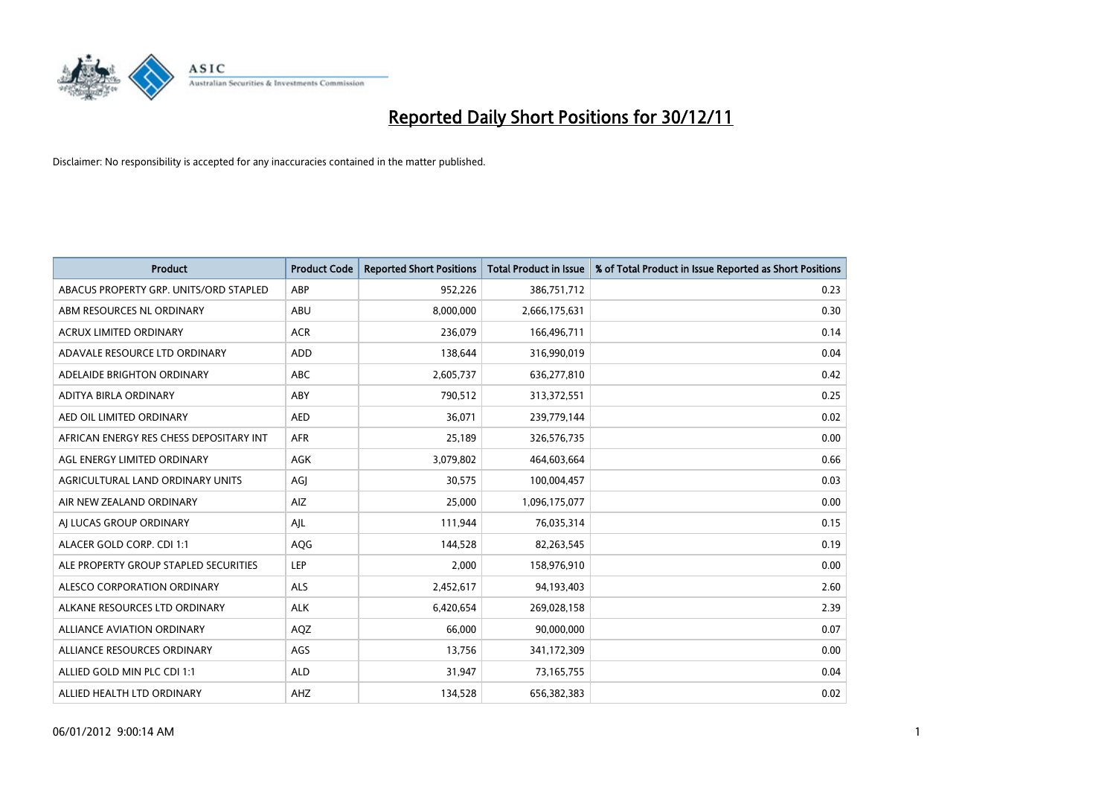

| <b>Product</b>                          | <b>Product Code</b> | <b>Reported Short Positions</b> | Total Product in Issue | % of Total Product in Issue Reported as Short Positions |
|-----------------------------------------|---------------------|---------------------------------|------------------------|---------------------------------------------------------|
| ABACUS PROPERTY GRP. UNITS/ORD STAPLED  | ABP                 | 952,226                         | 386,751,712            | 0.23                                                    |
| ABM RESOURCES NL ORDINARY               | ABU                 | 8,000,000                       | 2,666,175,631          | 0.30                                                    |
| <b>ACRUX LIMITED ORDINARY</b>           | <b>ACR</b>          | 236,079                         | 166,496,711            | 0.14                                                    |
| ADAVALE RESOURCE LTD ORDINARY           | ADD                 | 138,644                         | 316,990,019            | 0.04                                                    |
| ADELAIDE BRIGHTON ORDINARY              | <b>ABC</b>          | 2,605,737                       | 636,277,810            | 0.42                                                    |
| ADITYA BIRLA ORDINARY                   | ABY                 | 790,512                         | 313,372,551            | 0.25                                                    |
| AED OIL LIMITED ORDINARY                | <b>AED</b>          | 36,071                          | 239,779,144            | 0.02                                                    |
| AFRICAN ENERGY RES CHESS DEPOSITARY INT | <b>AFR</b>          | 25,189                          | 326,576,735            | 0.00                                                    |
| AGL ENERGY LIMITED ORDINARY             | AGK                 | 3,079,802                       | 464,603,664            | 0.66                                                    |
| AGRICULTURAL LAND ORDINARY UNITS        | AGI                 | 30,575                          | 100,004,457            | 0.03                                                    |
| AIR NEW ZEALAND ORDINARY                | AIZ.                | 25,000                          | 1,096,175,077          | 0.00                                                    |
| AI LUCAS GROUP ORDINARY                 | AJL                 | 111,944                         | 76,035,314             | 0.15                                                    |
| ALACER GOLD CORP. CDI 1:1               | AQG                 | 144,528                         | 82,263,545             | 0.19                                                    |
| ALE PROPERTY GROUP STAPLED SECURITIES   | LEP                 | 2,000                           | 158,976,910            | 0.00                                                    |
| ALESCO CORPORATION ORDINARY             | <b>ALS</b>          | 2,452,617                       | 94,193,403             | 2.60                                                    |
| ALKANE RESOURCES LTD ORDINARY           | <b>ALK</b>          | 6,420,654                       | 269,028,158            | 2.39                                                    |
| ALLIANCE AVIATION ORDINARY              | AQZ                 | 66,000                          | 90,000,000             | 0.07                                                    |
| ALLIANCE RESOURCES ORDINARY             | AGS                 | 13,756                          | 341,172,309            | 0.00                                                    |
| ALLIED GOLD MIN PLC CDI 1:1             | <b>ALD</b>          | 31,947                          | 73,165,755             | 0.04                                                    |
| ALLIED HEALTH LTD ORDINARY              | AHZ                 | 134,528                         | 656,382,383            | 0.02                                                    |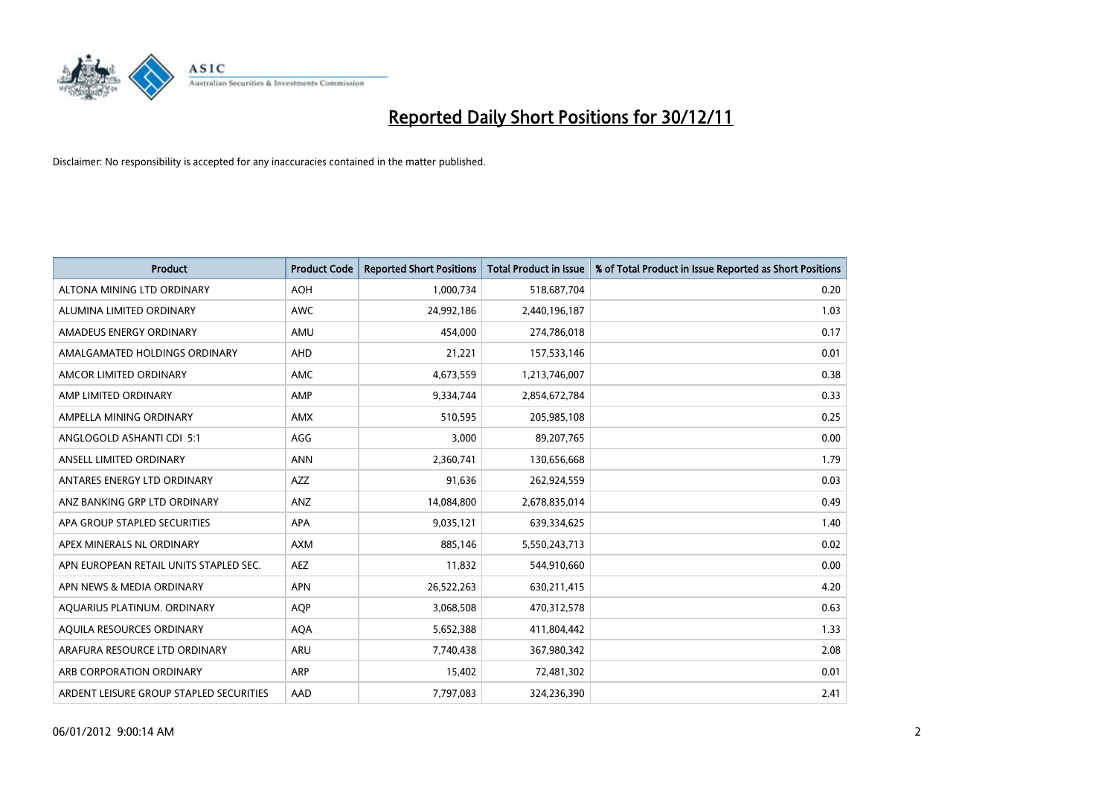

| <b>Product</b>                          | <b>Product Code</b> | <b>Reported Short Positions</b> | <b>Total Product in Issue</b> | % of Total Product in Issue Reported as Short Positions |
|-----------------------------------------|---------------------|---------------------------------|-------------------------------|---------------------------------------------------------|
| ALTONA MINING LTD ORDINARY              | <b>AOH</b>          | 1,000,734                       | 518,687,704                   | 0.20                                                    |
| ALUMINA LIMITED ORDINARY                | <b>AWC</b>          | 24,992,186                      | 2,440,196,187                 | 1.03                                                    |
| AMADEUS ENERGY ORDINARY                 | AMU                 | 454,000                         | 274,786,018                   | 0.17                                                    |
| AMALGAMATED HOLDINGS ORDINARY           | <b>AHD</b>          | 21,221                          | 157,533,146                   | 0.01                                                    |
| AMCOR LIMITED ORDINARY                  | <b>AMC</b>          | 4,673,559                       | 1,213,746,007                 | 0.38                                                    |
| AMP LIMITED ORDINARY                    | AMP                 | 9,334,744                       | 2,854,672,784                 | 0.33                                                    |
| AMPELLA MINING ORDINARY                 | <b>AMX</b>          | 510,595                         | 205,985,108                   | 0.25                                                    |
| ANGLOGOLD ASHANTI CDI 5:1               | AGG                 | 3.000                           | 89,207,765                    | 0.00                                                    |
| ANSELL LIMITED ORDINARY                 | <b>ANN</b>          | 2,360,741                       | 130,656,668                   | 1.79                                                    |
| ANTARES ENERGY LTD ORDINARY             | <b>AZZ</b>          | 91,636                          | 262,924,559                   | 0.03                                                    |
| ANZ BANKING GRP LTD ORDINARY            | ANZ                 | 14,084,800                      | 2,678,835,014                 | 0.49                                                    |
| APA GROUP STAPLED SECURITIES            | <b>APA</b>          | 9,035,121                       | 639,334,625                   | 1.40                                                    |
| APEX MINERALS NL ORDINARY               | <b>AXM</b>          | 885,146                         | 5,550,243,713                 | 0.02                                                    |
| APN EUROPEAN RETAIL UNITS STAPLED SEC.  | <b>AEZ</b>          | 11,832                          | 544,910,660                   | 0.00                                                    |
| APN NEWS & MEDIA ORDINARY               | <b>APN</b>          | 26,522,263                      | 630,211,415                   | 4.20                                                    |
| AQUARIUS PLATINUM. ORDINARY             | <b>AOP</b>          | 3,068,508                       | 470,312,578                   | 0.63                                                    |
| AQUILA RESOURCES ORDINARY               | <b>AQA</b>          | 5,652,388                       | 411,804,442                   | 1.33                                                    |
| ARAFURA RESOURCE LTD ORDINARY           | <b>ARU</b>          | 7,740,438                       | 367,980,342                   | 2.08                                                    |
| ARB CORPORATION ORDINARY                | ARP                 | 15,402                          | 72,481,302                    | 0.01                                                    |
| ARDENT LEISURE GROUP STAPLED SECURITIES | AAD                 | 7,797,083                       | 324,236,390                   | 2.41                                                    |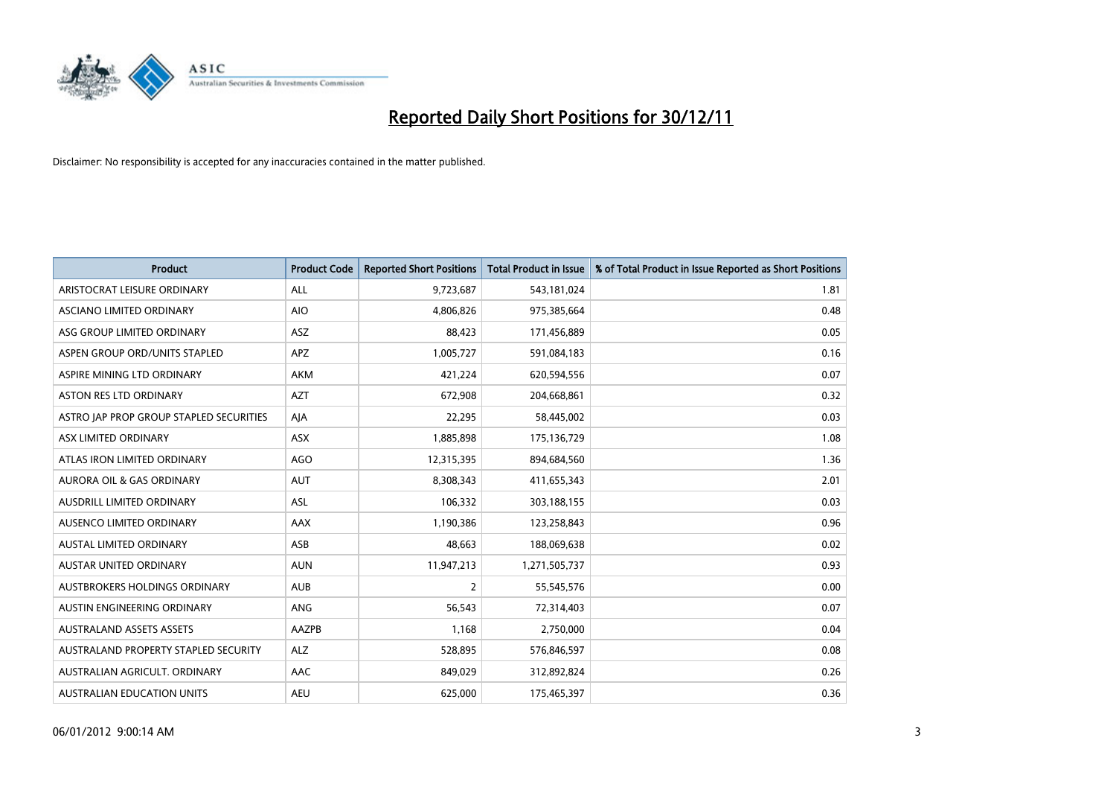

| <b>Product</b>                          | <b>Product Code</b> | <b>Reported Short Positions</b> | <b>Total Product in Issue</b> | % of Total Product in Issue Reported as Short Positions |
|-----------------------------------------|---------------------|---------------------------------|-------------------------------|---------------------------------------------------------|
| ARISTOCRAT LEISURE ORDINARY             | <b>ALL</b>          | 9,723,687                       | 543,181,024                   | 1.81                                                    |
| ASCIANO LIMITED ORDINARY                | <b>AIO</b>          | 4,806,826                       | 975,385,664                   | 0.48                                                    |
| ASG GROUP LIMITED ORDINARY              | <b>ASZ</b>          | 88,423                          | 171,456,889                   | 0.05                                                    |
| ASPEN GROUP ORD/UNITS STAPLED           | APZ                 | 1,005,727                       | 591,084,183                   | 0.16                                                    |
| ASPIRE MINING LTD ORDINARY              | <b>AKM</b>          | 421,224                         | 620,594,556                   | 0.07                                                    |
| <b>ASTON RES LTD ORDINARY</b>           | <b>AZT</b>          | 672,908                         | 204,668,861                   | 0.32                                                    |
| ASTRO JAP PROP GROUP STAPLED SECURITIES | AJA                 | 22,295                          | 58,445,002                    | 0.03                                                    |
| ASX LIMITED ORDINARY                    | ASX                 | 1,885,898                       | 175,136,729                   | 1.08                                                    |
| ATLAS IRON LIMITED ORDINARY             | <b>AGO</b>          | 12,315,395                      | 894,684,560                   | 1.36                                                    |
| <b>AURORA OIL &amp; GAS ORDINARY</b>    | <b>AUT</b>          | 8,308,343                       | 411,655,343                   | 2.01                                                    |
| AUSDRILL LIMITED ORDINARY               | <b>ASL</b>          | 106,332                         | 303,188,155                   | 0.03                                                    |
| <b>AUSENCO LIMITED ORDINARY</b>         | AAX                 | 1,190,386                       | 123,258,843                   | 0.96                                                    |
| AUSTAL LIMITED ORDINARY                 | ASB                 | 48,663                          | 188,069,638                   | 0.02                                                    |
| <b>AUSTAR UNITED ORDINARY</b>           | <b>AUN</b>          | 11,947,213                      | 1,271,505,737                 | 0.93                                                    |
| AUSTBROKERS HOLDINGS ORDINARY           | <b>AUB</b>          | 2                               | 55,545,576                    | 0.00                                                    |
| AUSTIN ENGINEERING ORDINARY             | ANG                 | 56,543                          | 72,314,403                    | 0.07                                                    |
| <b>AUSTRALAND ASSETS ASSETS</b>         | AAZPB               | 1,168                           | 2,750,000                     | 0.04                                                    |
| AUSTRALAND PROPERTY STAPLED SECURITY    | <b>ALZ</b>          | 528,895                         | 576,846,597                   | 0.08                                                    |
| AUSTRALIAN AGRICULT, ORDINARY           | AAC                 | 849,029                         | 312,892,824                   | 0.26                                                    |
| <b>AUSTRALIAN EDUCATION UNITS</b>       | <b>AEU</b>          | 625.000                         | 175,465,397                   | 0.36                                                    |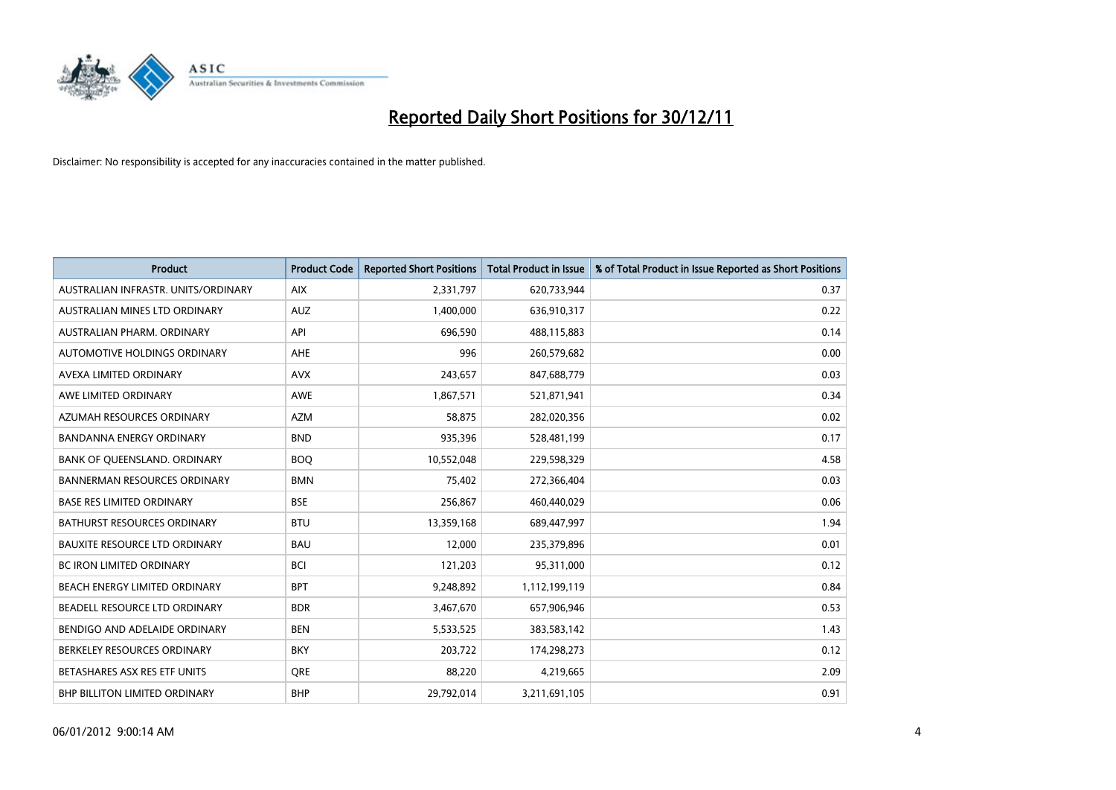

| <b>Product</b>                       | <b>Product Code</b> | <b>Reported Short Positions</b> | <b>Total Product in Issue</b> | % of Total Product in Issue Reported as Short Positions |
|--------------------------------------|---------------------|---------------------------------|-------------------------------|---------------------------------------------------------|
| AUSTRALIAN INFRASTR, UNITS/ORDINARY  | <b>AIX</b>          | 2,331,797                       | 620,733,944                   | 0.37                                                    |
| AUSTRALIAN MINES LTD ORDINARY        | AUZ                 | 1,400,000                       | 636,910,317                   | 0.22                                                    |
| AUSTRALIAN PHARM, ORDINARY           | API                 | 696,590                         | 488,115,883                   | 0.14                                                    |
| AUTOMOTIVE HOLDINGS ORDINARY         | <b>AHE</b>          | 996                             | 260,579,682                   | 0.00                                                    |
| <b>AVEXA LIMITED ORDINARY</b>        | <b>AVX</b>          | 243,657                         | 847,688,779                   | 0.03                                                    |
| AWE LIMITED ORDINARY                 | AWE                 | 1,867,571                       | 521,871,941                   | 0.34                                                    |
| AZUMAH RESOURCES ORDINARY            | <b>AZM</b>          | 58,875                          | 282,020,356                   | 0.02                                                    |
| BANDANNA ENERGY ORDINARY             | <b>BND</b>          | 935,396                         | 528,481,199                   | 0.17                                                    |
| BANK OF QUEENSLAND. ORDINARY         | <b>BOQ</b>          | 10,552,048                      | 229,598,329                   | 4.58                                                    |
| <b>BANNERMAN RESOURCES ORDINARY</b>  | <b>BMN</b>          | 75,402                          | 272,366,404                   | 0.03                                                    |
| <b>BASE RES LIMITED ORDINARY</b>     | <b>BSE</b>          | 256,867                         | 460,440,029                   | 0.06                                                    |
| <b>BATHURST RESOURCES ORDINARY</b>   | <b>BTU</b>          | 13,359,168                      | 689,447,997                   | 1.94                                                    |
| <b>BAUXITE RESOURCE LTD ORDINARY</b> | <b>BAU</b>          | 12,000                          | 235,379,896                   | 0.01                                                    |
| <b>BC IRON LIMITED ORDINARY</b>      | <b>BCI</b>          | 121,203                         | 95,311,000                    | 0.12                                                    |
| BEACH ENERGY LIMITED ORDINARY        | <b>BPT</b>          | 9,248,892                       | 1,112,199,119                 | 0.84                                                    |
| BEADELL RESOURCE LTD ORDINARY        | <b>BDR</b>          | 3,467,670                       | 657,906,946                   | 0.53                                                    |
| BENDIGO AND ADELAIDE ORDINARY        | <b>BEN</b>          | 5,533,525                       | 383,583,142                   | 1.43                                                    |
| BERKELEY RESOURCES ORDINARY          | <b>BKY</b>          | 203,722                         | 174,298,273                   | 0.12                                                    |
| BETASHARES ASX RES ETF UNITS         | <b>ORE</b>          | 88,220                          | 4,219,665                     | 2.09                                                    |
| BHP BILLITON LIMITED ORDINARY        | <b>BHP</b>          | 29,792,014                      | 3,211,691,105                 | 0.91                                                    |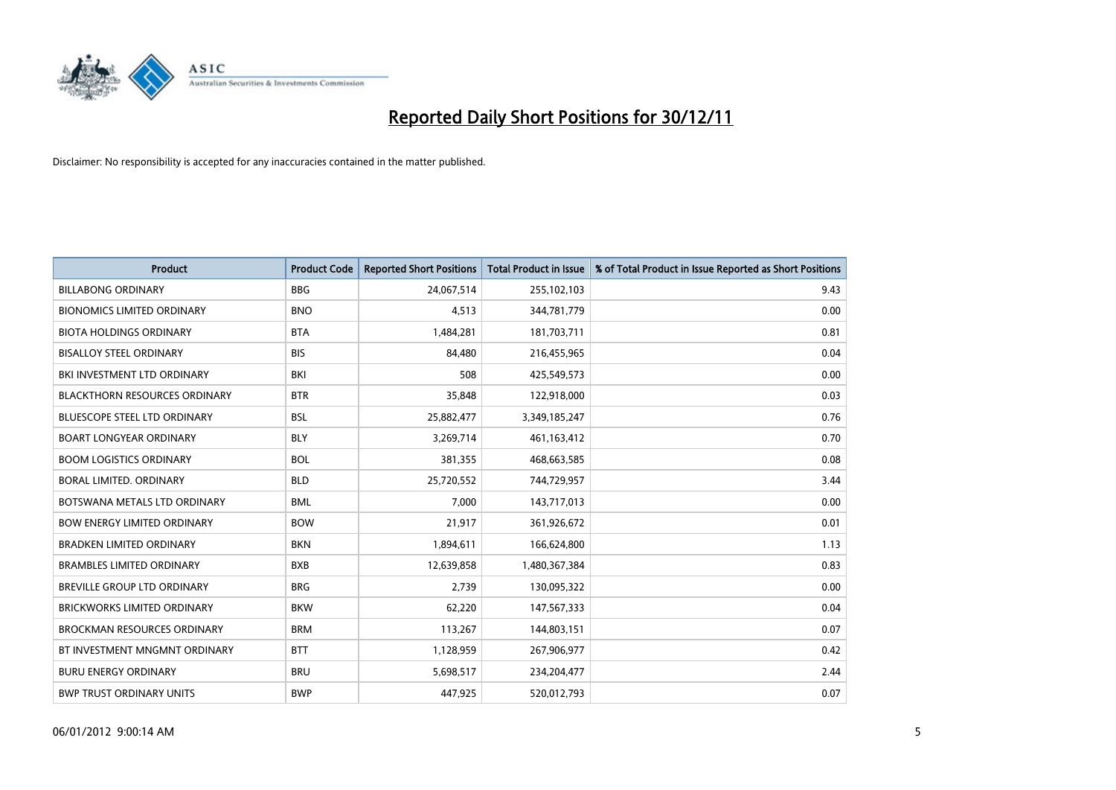

| <b>Product</b>                       | <b>Product Code</b> | <b>Reported Short Positions</b> | <b>Total Product in Issue</b> | % of Total Product in Issue Reported as Short Positions |
|--------------------------------------|---------------------|---------------------------------|-------------------------------|---------------------------------------------------------|
| <b>BILLABONG ORDINARY</b>            | <b>BBG</b>          | 24,067,514                      | 255,102,103                   | 9.43                                                    |
| <b>BIONOMICS LIMITED ORDINARY</b>    | <b>BNO</b>          | 4,513                           | 344,781,779                   | 0.00                                                    |
| <b>BIOTA HOLDINGS ORDINARY</b>       | <b>BTA</b>          | 1,484,281                       | 181,703,711                   | 0.81                                                    |
| <b>BISALLOY STEEL ORDINARY</b>       | <b>BIS</b>          | 84,480                          | 216,455,965                   | 0.04                                                    |
| BKI INVESTMENT LTD ORDINARY          | BKI                 | 508                             | 425,549,573                   | 0.00                                                    |
| <b>BLACKTHORN RESOURCES ORDINARY</b> | <b>BTR</b>          | 35,848                          | 122,918,000                   | 0.03                                                    |
| <b>BLUESCOPE STEEL LTD ORDINARY</b>  | <b>BSL</b>          | 25,882,477                      | 3,349,185,247                 | 0.76                                                    |
| <b>BOART LONGYEAR ORDINARY</b>       | <b>BLY</b>          | 3,269,714                       | 461,163,412                   | 0.70                                                    |
| <b>BOOM LOGISTICS ORDINARY</b>       | <b>BOL</b>          | 381,355                         | 468,663,585                   | 0.08                                                    |
| BORAL LIMITED, ORDINARY              | <b>BLD</b>          | 25,720,552                      | 744,729,957                   | 3.44                                                    |
| BOTSWANA METALS LTD ORDINARY         | <b>BML</b>          | 7,000                           | 143,717,013                   | 0.00                                                    |
| <b>BOW ENERGY LIMITED ORDINARY</b>   | <b>BOW</b>          | 21,917                          | 361,926,672                   | 0.01                                                    |
| <b>BRADKEN LIMITED ORDINARY</b>      | <b>BKN</b>          | 1,894,611                       | 166,624,800                   | 1.13                                                    |
| <b>BRAMBLES LIMITED ORDINARY</b>     | <b>BXB</b>          | 12,639,858                      | 1,480,367,384                 | 0.83                                                    |
| <b>BREVILLE GROUP LTD ORDINARY</b>   | <b>BRG</b>          | 2,739                           | 130,095,322                   | 0.00                                                    |
| BRICKWORKS LIMITED ORDINARY          | <b>BKW</b>          | 62,220                          | 147,567,333                   | 0.04                                                    |
| <b>BROCKMAN RESOURCES ORDINARY</b>   | <b>BRM</b>          | 113,267                         | 144,803,151                   | 0.07                                                    |
| BT INVESTMENT MNGMNT ORDINARY        | <b>BTT</b>          | 1,128,959                       | 267,906,977                   | 0.42                                                    |
| <b>BURU ENERGY ORDINARY</b>          | <b>BRU</b>          | 5,698,517                       | 234,204,477                   | 2.44                                                    |
| <b>BWP TRUST ORDINARY UNITS</b>      | <b>BWP</b>          | 447.925                         | 520,012,793                   | 0.07                                                    |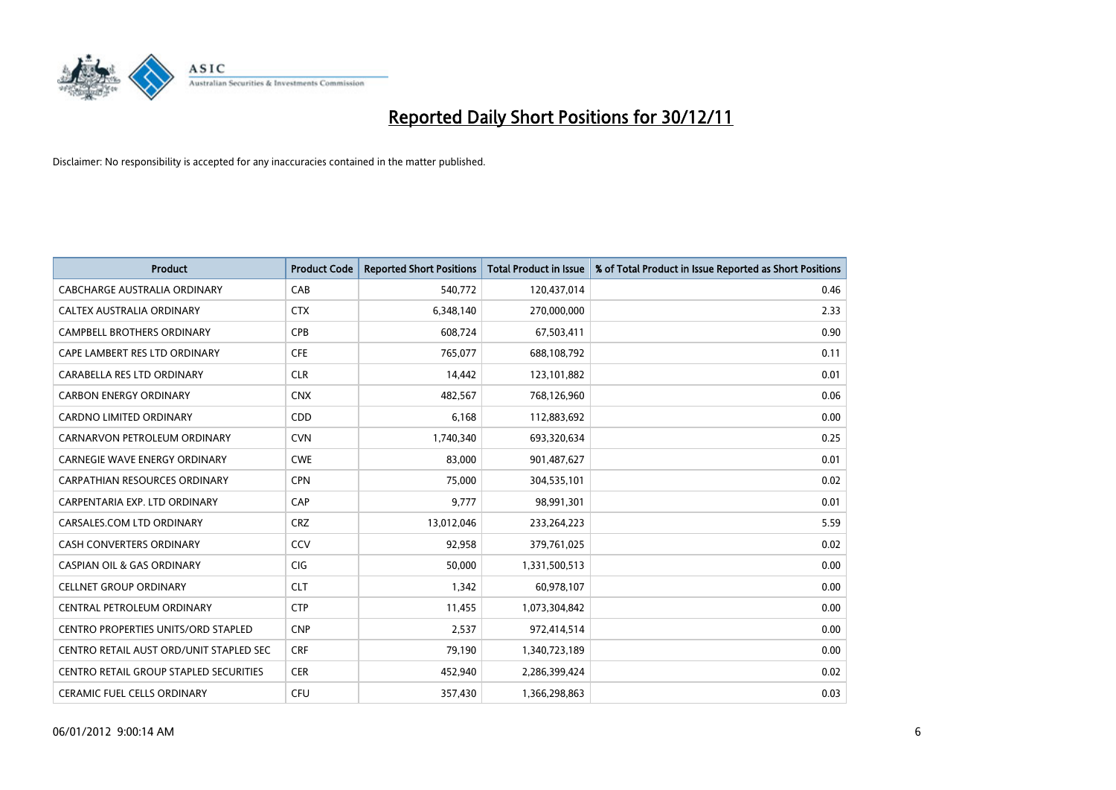

| <b>Product</b>                             | <b>Product Code</b> | <b>Reported Short Positions</b> | <b>Total Product in Issue</b> | % of Total Product in Issue Reported as Short Positions |
|--------------------------------------------|---------------------|---------------------------------|-------------------------------|---------------------------------------------------------|
| <b>CABCHARGE AUSTRALIA ORDINARY</b>        | CAB                 | 540,772                         | 120,437,014                   | 0.46                                                    |
| CALTEX AUSTRALIA ORDINARY                  | <b>CTX</b>          | 6,348,140                       | 270,000,000                   | 2.33                                                    |
| <b>CAMPBELL BROTHERS ORDINARY</b>          | CPB                 | 608,724                         | 67,503,411                    | 0.90                                                    |
| CAPE LAMBERT RES LTD ORDINARY              | <b>CFE</b>          | 765,077                         | 688,108,792                   | 0.11                                                    |
| CARABELLA RES LTD ORDINARY                 | <b>CLR</b>          | 14,442                          | 123,101,882                   | 0.01                                                    |
| <b>CARBON ENERGY ORDINARY</b>              | <b>CNX</b>          | 482,567                         | 768,126,960                   | 0.06                                                    |
| <b>CARDNO LIMITED ORDINARY</b>             | CDD                 | 6,168                           | 112,883,692                   | 0.00                                                    |
| CARNARVON PETROLEUM ORDINARY               | <b>CVN</b>          | 1,740,340                       | 693,320,634                   | 0.25                                                    |
| CARNEGIE WAVE ENERGY ORDINARY              | <b>CWE</b>          | 83,000                          | 901,487,627                   | 0.01                                                    |
| <b>CARPATHIAN RESOURCES ORDINARY</b>       | <b>CPN</b>          | 75,000                          | 304,535,101                   | 0.02                                                    |
| CARPENTARIA EXP. LTD ORDINARY              | CAP                 | 9,777                           | 98,991,301                    | 0.01                                                    |
| CARSALES.COM LTD ORDINARY                  | <b>CRZ</b>          | 13,012,046                      | 233,264,223                   | 5.59                                                    |
| CASH CONVERTERS ORDINARY                   | CCV                 | 92,958                          | 379,761,025                   | 0.02                                                    |
| <b>CASPIAN OIL &amp; GAS ORDINARY</b>      | <b>CIG</b>          | 50,000                          | 1,331,500,513                 | 0.00                                                    |
| <b>CELLNET GROUP ORDINARY</b>              | <b>CLT</b>          | 1,342                           | 60,978,107                    | 0.00                                                    |
| CENTRAL PETROLEUM ORDINARY                 | <b>CTP</b>          | 11,455                          | 1,073,304,842                 | 0.00                                                    |
| <b>CENTRO PROPERTIES UNITS/ORD STAPLED</b> | <b>CNP</b>          | 2,537                           | 972,414,514                   | 0.00                                                    |
| CENTRO RETAIL AUST ORD/UNIT STAPLED SEC    | <b>CRF</b>          | 79,190                          | 1,340,723,189                 | 0.00                                                    |
| CENTRO RETAIL GROUP STAPLED SECURITIES     | <b>CER</b>          | 452,940                         | 2,286,399,424                 | 0.02                                                    |
| <b>CERAMIC FUEL CELLS ORDINARY</b>         | <b>CFU</b>          | 357,430                         | 1,366,298,863                 | 0.03                                                    |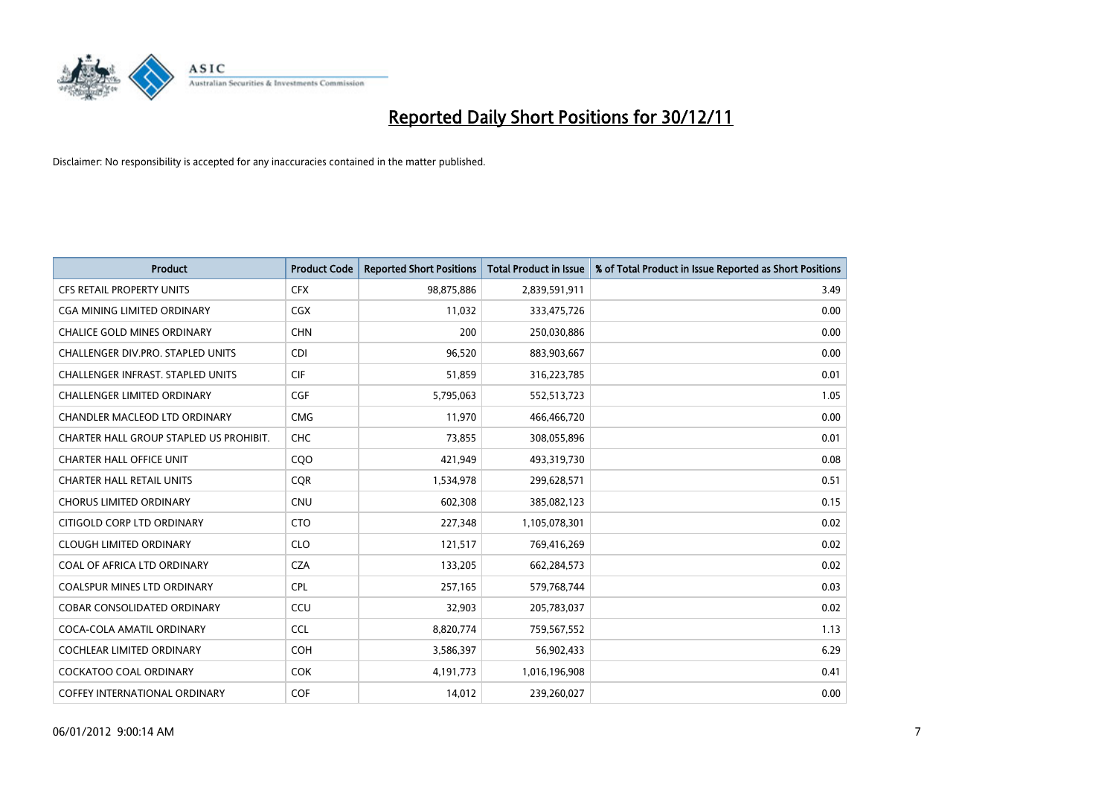

| <b>Product</b>                           | <b>Product Code</b> | <b>Reported Short Positions</b> | <b>Total Product in Issue</b> | % of Total Product in Issue Reported as Short Positions |
|------------------------------------------|---------------------|---------------------------------|-------------------------------|---------------------------------------------------------|
| <b>CFS RETAIL PROPERTY UNITS</b>         | <b>CFX</b>          | 98,875,886                      | 2,839,591,911                 | 3.49                                                    |
| CGA MINING LIMITED ORDINARY              | <b>CGX</b>          | 11,032                          | 333,475,726                   | 0.00                                                    |
| <b>CHALICE GOLD MINES ORDINARY</b>       | <b>CHN</b>          | 200                             | 250,030,886                   | 0.00                                                    |
| CHALLENGER DIV.PRO. STAPLED UNITS        | <b>CDI</b>          | 96,520                          | 883,903,667                   | 0.00                                                    |
| <b>CHALLENGER INFRAST, STAPLED UNITS</b> | <b>CIF</b>          | 51,859                          | 316,223,785                   | 0.01                                                    |
| <b>CHALLENGER LIMITED ORDINARY</b>       | <b>CGF</b>          | 5,795,063                       | 552,513,723                   | 1.05                                                    |
| CHANDLER MACLEOD LTD ORDINARY            | <b>CMG</b>          | 11,970                          | 466,466,720                   | 0.00                                                    |
| CHARTER HALL GROUP STAPLED US PROHIBIT.  | <b>CHC</b>          | 73,855                          | 308,055,896                   | 0.01                                                    |
| <b>CHARTER HALL OFFICE UNIT</b>          | CQO                 | 421,949                         | 493,319,730                   | 0.08                                                    |
| <b>CHARTER HALL RETAIL UNITS</b>         | <b>CQR</b>          | 1,534,978                       | 299,628,571                   | 0.51                                                    |
| <b>CHORUS LIMITED ORDINARY</b>           | <b>CNU</b>          | 602,308                         | 385,082,123                   | 0.15                                                    |
| CITIGOLD CORP LTD ORDINARY               | <b>CTO</b>          | 227,348                         | 1,105,078,301                 | 0.02                                                    |
| <b>CLOUGH LIMITED ORDINARY</b>           | <b>CLO</b>          | 121,517                         | 769,416,269                   | 0.02                                                    |
| COAL OF AFRICA LTD ORDINARY              | <b>CZA</b>          | 133,205                         | 662,284,573                   | 0.02                                                    |
| <b>COALSPUR MINES LTD ORDINARY</b>       | <b>CPL</b>          | 257,165                         | 579,768,744                   | 0.03                                                    |
| COBAR CONSOLIDATED ORDINARY              | CCU                 | 32,903                          | 205,783,037                   | 0.02                                                    |
| COCA-COLA AMATIL ORDINARY                | <b>CCL</b>          | 8,820,774                       | 759,567,552                   | 1.13                                                    |
| <b>COCHLEAR LIMITED ORDINARY</b>         | <b>COH</b>          | 3,586,397                       | 56,902,433                    | 6.29                                                    |
| <b>COCKATOO COAL ORDINARY</b>            | <b>COK</b>          | 4,191,773                       | 1,016,196,908                 | 0.41                                                    |
| <b>COFFEY INTERNATIONAL ORDINARY</b>     | <b>COF</b>          | 14,012                          | 239,260,027                   | 0.00                                                    |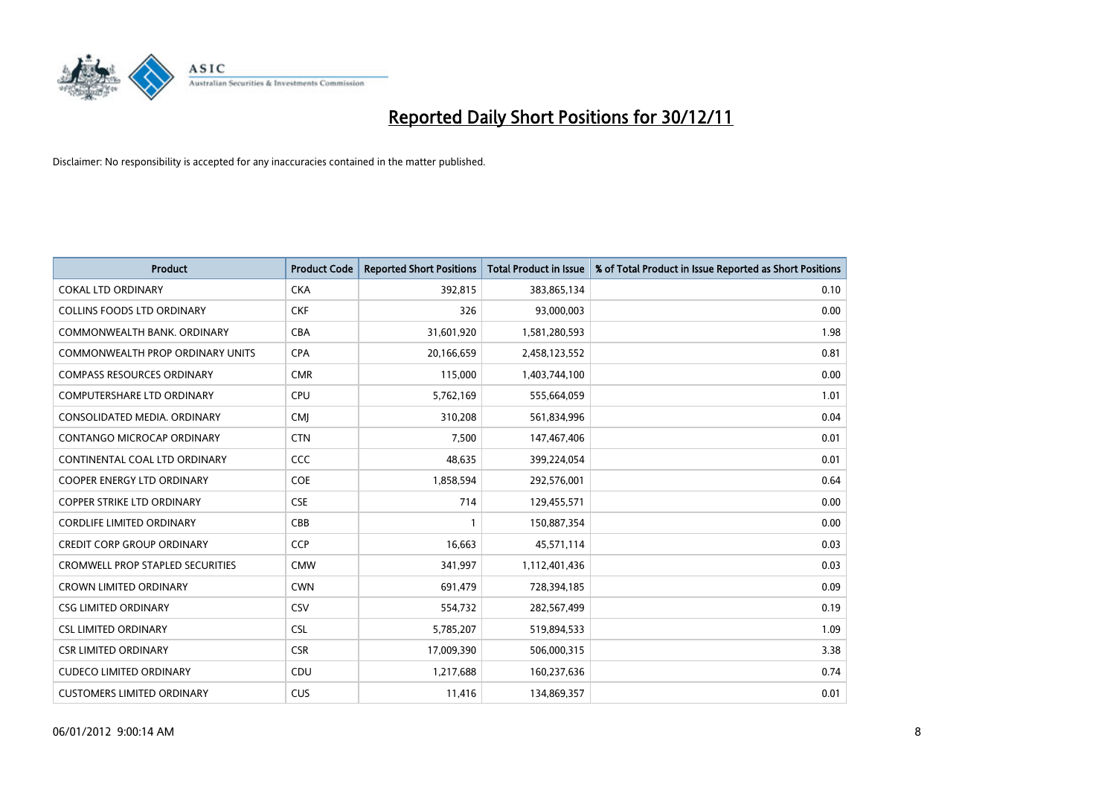

| <b>Product</b>                          | <b>Product Code</b> | <b>Reported Short Positions</b> | <b>Total Product in Issue</b> | % of Total Product in Issue Reported as Short Positions |
|-----------------------------------------|---------------------|---------------------------------|-------------------------------|---------------------------------------------------------|
| <b>COKAL LTD ORDINARY</b>               | <b>CKA</b>          | 392,815                         | 383,865,134                   | 0.10                                                    |
| <b>COLLINS FOODS LTD ORDINARY</b>       | <b>CKF</b>          | 326                             | 93,000,003                    | 0.00                                                    |
| COMMONWEALTH BANK, ORDINARY             | <b>CBA</b>          | 31,601,920                      | 1,581,280,593                 | 1.98                                                    |
| COMMONWEALTH PROP ORDINARY UNITS        | <b>CPA</b>          | 20,166,659                      | 2,458,123,552                 | 0.81                                                    |
| <b>COMPASS RESOURCES ORDINARY</b>       | <b>CMR</b>          | 115,000                         | 1,403,744,100                 | 0.00                                                    |
| <b>COMPUTERSHARE LTD ORDINARY</b>       | <b>CPU</b>          | 5,762,169                       | 555,664,059                   | 1.01                                                    |
| CONSOLIDATED MEDIA, ORDINARY            | <b>CMI</b>          | 310.208                         | 561,834,996                   | 0.04                                                    |
| <b>CONTANGO MICROCAP ORDINARY</b>       | <b>CTN</b>          | 7,500                           | 147,467,406                   | 0.01                                                    |
| CONTINENTAL COAL LTD ORDINARY           | CCC                 | 48,635                          | 399,224,054                   | 0.01                                                    |
| <b>COOPER ENERGY LTD ORDINARY</b>       | <b>COE</b>          | 1,858,594                       | 292,576,001                   | 0.64                                                    |
| <b>COPPER STRIKE LTD ORDINARY</b>       | <b>CSE</b>          | 714                             | 129,455,571                   | 0.00                                                    |
| <b>CORDLIFE LIMITED ORDINARY</b>        | CBB                 |                                 | 150,887,354                   | 0.00                                                    |
| <b>CREDIT CORP GROUP ORDINARY</b>       | <b>CCP</b>          | 16,663                          | 45,571,114                    | 0.03                                                    |
| <b>CROMWELL PROP STAPLED SECURITIES</b> | <b>CMW</b>          | 341,997                         | 1,112,401,436                 | 0.03                                                    |
| <b>CROWN LIMITED ORDINARY</b>           | <b>CWN</b>          | 691,479                         | 728,394,185                   | 0.09                                                    |
| <b>CSG LIMITED ORDINARY</b>             | CSV                 | 554,732                         | 282,567,499                   | 0.19                                                    |
| <b>CSL LIMITED ORDINARY</b>             | <b>CSL</b>          | 5,785,207                       | 519,894,533                   | 1.09                                                    |
| <b>CSR LIMITED ORDINARY</b>             | <b>CSR</b>          | 17,009,390                      | 506,000,315                   | 3.38                                                    |
| <b>CUDECO LIMITED ORDINARY</b>          | CDU                 | 1,217,688                       | 160,237,636                   | 0.74                                                    |
| <b>CUSTOMERS LIMITED ORDINARY</b>       | CUS                 | 11,416                          | 134,869,357                   | 0.01                                                    |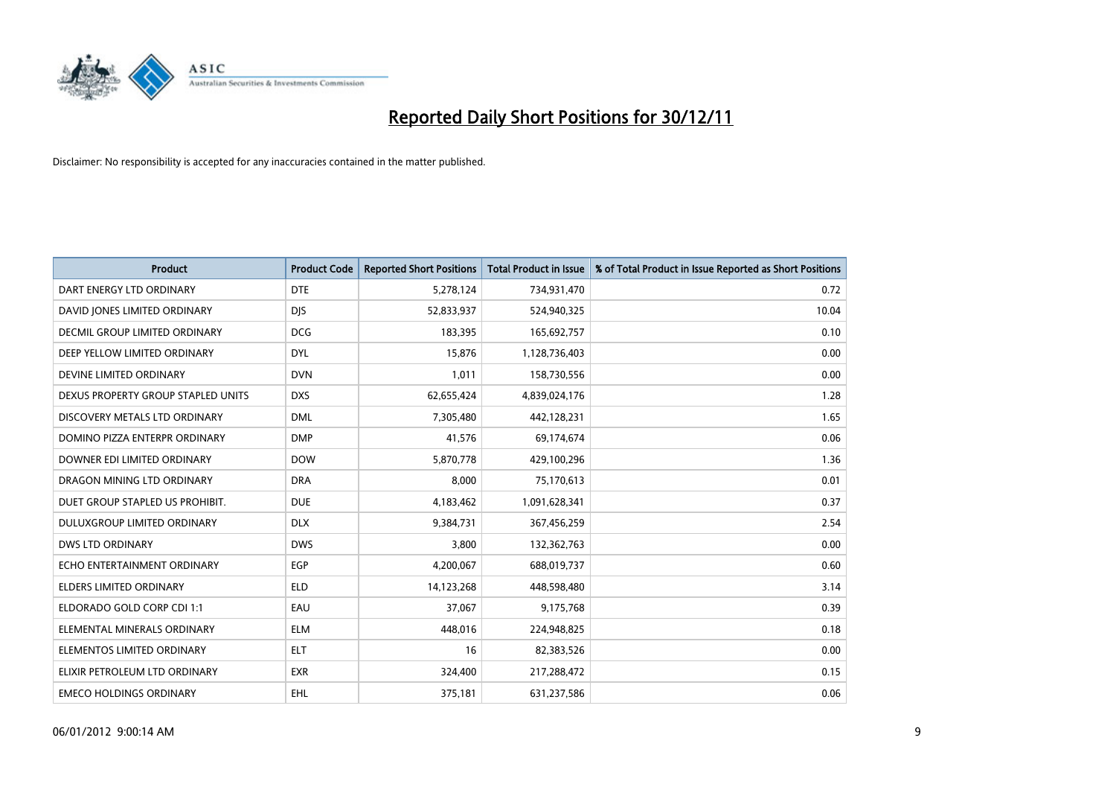

| <b>Product</b>                       | <b>Product Code</b> | <b>Reported Short Positions</b> | <b>Total Product in Issue</b> | % of Total Product in Issue Reported as Short Positions |
|--------------------------------------|---------------------|---------------------------------|-------------------------------|---------------------------------------------------------|
| DART ENERGY LTD ORDINARY             | <b>DTE</b>          | 5,278,124                       | 734,931,470                   | 0.72                                                    |
| DAVID JONES LIMITED ORDINARY         | <b>DIS</b>          | 52,833,937                      | 524,940,325                   | 10.04                                                   |
| <b>DECMIL GROUP LIMITED ORDINARY</b> | <b>DCG</b>          | 183,395                         | 165,692,757                   | 0.10                                                    |
| DEEP YELLOW LIMITED ORDINARY         | <b>DYL</b>          | 15,876                          | 1,128,736,403                 | 0.00                                                    |
| DEVINE LIMITED ORDINARY              | <b>DVN</b>          | 1,011                           | 158,730,556                   | 0.00                                                    |
| DEXUS PROPERTY GROUP STAPLED UNITS   | <b>DXS</b>          | 62,655,424                      | 4,839,024,176                 | 1.28                                                    |
| DISCOVERY METALS LTD ORDINARY        | <b>DML</b>          | 7,305,480                       | 442,128,231                   | 1.65                                                    |
| DOMINO PIZZA ENTERPR ORDINARY        | <b>DMP</b>          | 41,576                          | 69,174,674                    | 0.06                                                    |
| DOWNER EDI LIMITED ORDINARY          | <b>DOW</b>          | 5,870,778                       | 429,100,296                   | 1.36                                                    |
| DRAGON MINING LTD ORDINARY           | <b>DRA</b>          | 8,000                           | 75,170,613                    | 0.01                                                    |
| DUET GROUP STAPLED US PROHIBIT.      | <b>DUE</b>          | 4,183,462                       | 1,091,628,341                 | 0.37                                                    |
| <b>DULUXGROUP LIMITED ORDINARY</b>   | <b>DLX</b>          | 9,384,731                       | 367,456,259                   | 2.54                                                    |
| DWS LTD ORDINARY                     | <b>DWS</b>          | 3,800                           | 132,362,763                   | 0.00                                                    |
| ECHO ENTERTAINMENT ORDINARY          | <b>EGP</b>          | 4,200,067                       | 688,019,737                   | 0.60                                                    |
| <b>ELDERS LIMITED ORDINARY</b>       | <b>ELD</b>          | 14,123,268                      | 448,598,480                   | 3.14                                                    |
| ELDORADO GOLD CORP CDI 1:1           | EAU                 | 37,067                          | 9,175,768                     | 0.39                                                    |
| ELEMENTAL MINERALS ORDINARY          | <b>ELM</b>          | 448,016                         | 224,948,825                   | 0.18                                                    |
| ELEMENTOS LIMITED ORDINARY           | <b>ELT</b>          | 16                              | 82,383,526                    | 0.00                                                    |
| ELIXIR PETROLEUM LTD ORDINARY        | <b>EXR</b>          | 324,400                         | 217,288,472                   | 0.15                                                    |
| <b>EMECO HOLDINGS ORDINARY</b>       | EHL                 | 375,181                         | 631,237,586                   | 0.06                                                    |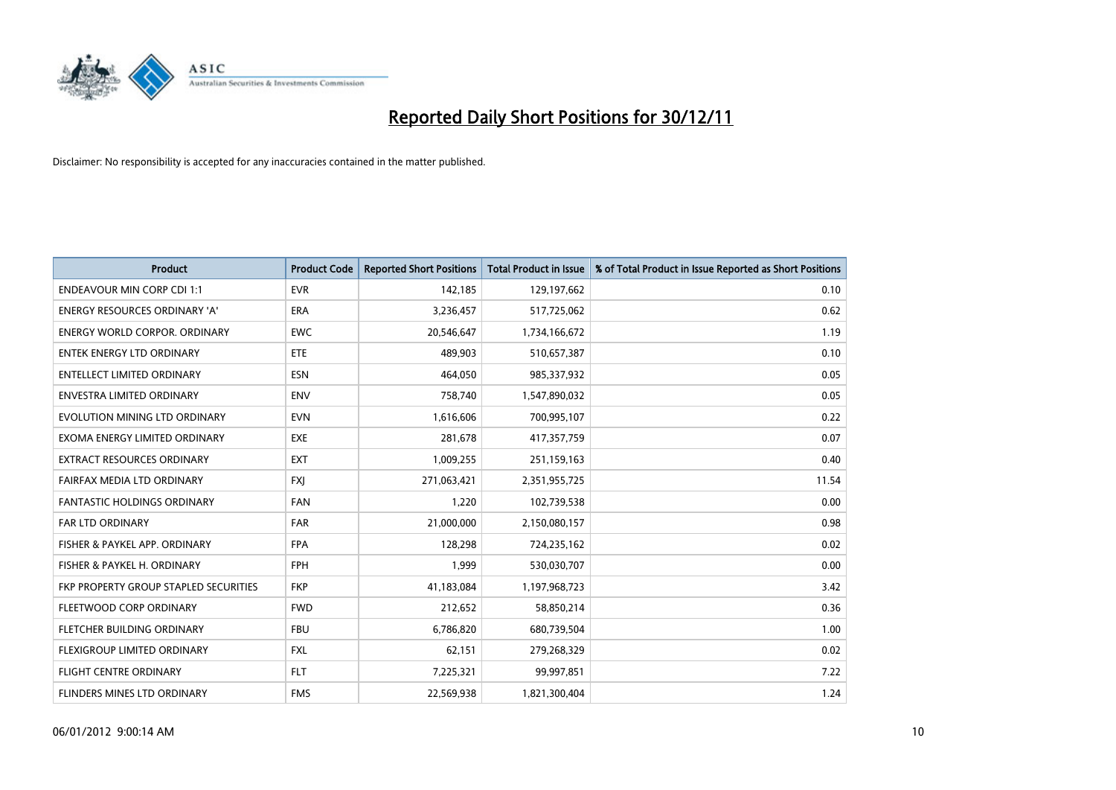

| <b>Product</b>                        | <b>Product Code</b> | <b>Reported Short Positions</b> | <b>Total Product in Issue</b> | % of Total Product in Issue Reported as Short Positions |
|---------------------------------------|---------------------|---------------------------------|-------------------------------|---------------------------------------------------------|
| <b>ENDEAVOUR MIN CORP CDI 1:1</b>     | <b>EVR</b>          | 142,185                         | 129,197,662                   | 0.10                                                    |
| ENERGY RESOURCES ORDINARY 'A'         | <b>ERA</b>          | 3,236,457                       | 517,725,062                   | 0.62                                                    |
| ENERGY WORLD CORPOR, ORDINARY         | <b>EWC</b>          | 20,546,647                      | 1,734,166,672                 | 1.19                                                    |
| ENTEK ENERGY LTD ORDINARY             | <b>ETE</b>          | 489,903                         | 510,657,387                   | 0.10                                                    |
| <b>ENTELLECT LIMITED ORDINARY</b>     | <b>ESN</b>          | 464,050                         | 985,337,932                   | 0.05                                                    |
| <b>ENVESTRA LIMITED ORDINARY</b>      | <b>ENV</b>          | 758,740                         | 1,547,890,032                 | 0.05                                                    |
| EVOLUTION MINING LTD ORDINARY         | <b>EVN</b>          | 1,616,606                       | 700,995,107                   | 0.22                                                    |
| EXOMA ENERGY LIMITED ORDINARY         | <b>EXE</b>          | 281,678                         | 417,357,759                   | 0.07                                                    |
| <b>EXTRACT RESOURCES ORDINARY</b>     | <b>EXT</b>          | 1,009,255                       | 251,159,163                   | 0.40                                                    |
| FAIRFAX MEDIA LTD ORDINARY            | <b>FXI</b>          | 271,063,421                     | 2,351,955,725                 | 11.54                                                   |
| FANTASTIC HOLDINGS ORDINARY           | <b>FAN</b>          | 1,220                           | 102,739,538                   | 0.00                                                    |
| <b>FAR LTD ORDINARY</b>               | <b>FAR</b>          | 21,000,000                      | 2,150,080,157                 | 0.98                                                    |
| FISHER & PAYKEL APP. ORDINARY         | <b>FPA</b>          | 128,298                         | 724,235,162                   | 0.02                                                    |
| FISHER & PAYKEL H. ORDINARY           | <b>FPH</b>          | 1,999                           | 530,030,707                   | 0.00                                                    |
| FKP PROPERTY GROUP STAPLED SECURITIES | <b>FKP</b>          | 41,183,084                      | 1,197,968,723                 | 3.42                                                    |
| FLEETWOOD CORP ORDINARY               | <b>FWD</b>          | 212,652                         | 58,850,214                    | 0.36                                                    |
| FLETCHER BUILDING ORDINARY            | <b>FBU</b>          | 6,786,820                       | 680,739,504                   | 1.00                                                    |
| FLEXIGROUP LIMITED ORDINARY           | <b>FXL</b>          | 62,151                          | 279,268,329                   | 0.02                                                    |
| FLIGHT CENTRE ORDINARY                | <b>FLT</b>          | 7,225,321                       | 99,997,851                    | 7.22                                                    |
| FLINDERS MINES LTD ORDINARY           | <b>FMS</b>          | 22,569,938                      | 1,821,300,404                 | 1.24                                                    |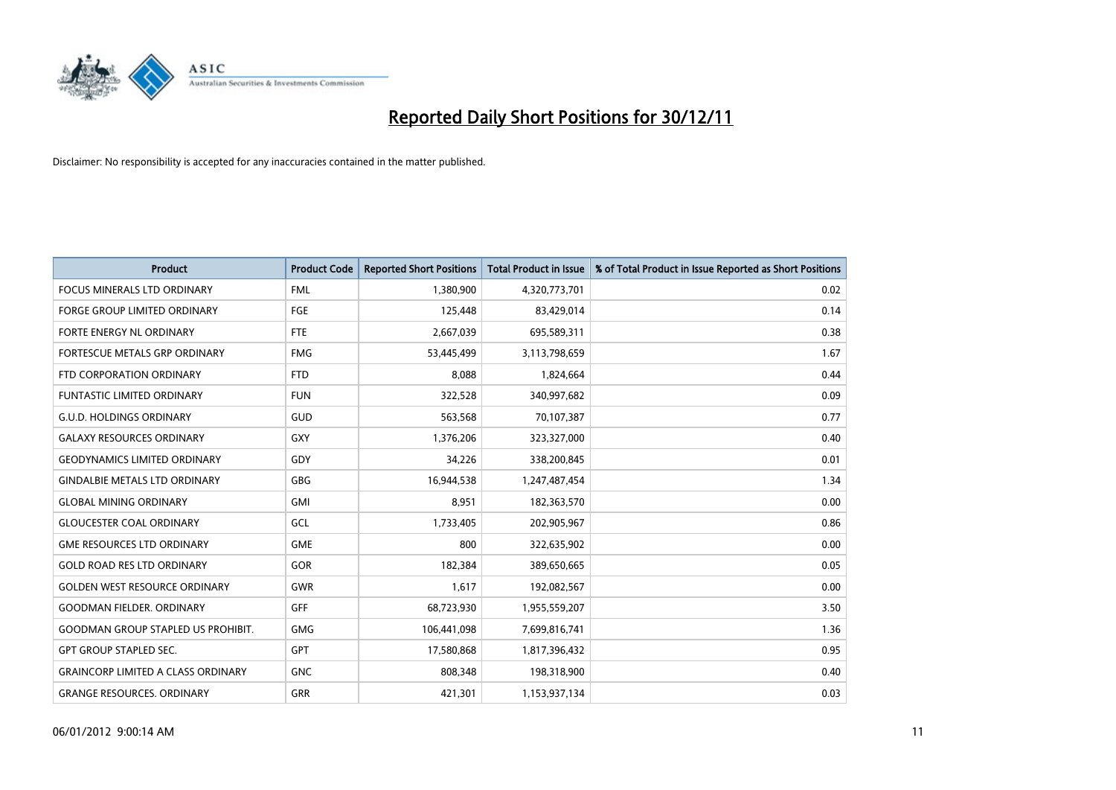

| <b>Product</b>                            | <b>Product Code</b> | <b>Reported Short Positions</b> | <b>Total Product in Issue</b> | % of Total Product in Issue Reported as Short Positions |
|-------------------------------------------|---------------------|---------------------------------|-------------------------------|---------------------------------------------------------|
| <b>FOCUS MINERALS LTD ORDINARY</b>        | <b>FML</b>          | 1,380,900                       | 4,320,773,701                 | 0.02                                                    |
| <b>FORGE GROUP LIMITED ORDINARY</b>       | FGE                 | 125,448                         | 83,429,014                    | 0.14                                                    |
| <b>FORTE ENERGY NL ORDINARY</b>           | FTE                 | 2,667,039                       | 695,589,311                   | 0.38                                                    |
| FORTESCUE METALS GRP ORDINARY             | <b>FMG</b>          | 53,445,499                      | 3,113,798,659                 | 1.67                                                    |
| FTD CORPORATION ORDINARY                  | <b>FTD</b>          | 8.088                           | 1,824,664                     | 0.44                                                    |
| <b>FUNTASTIC LIMITED ORDINARY</b>         | <b>FUN</b>          | 322,528                         | 340,997,682                   | 0.09                                                    |
| <b>G.U.D. HOLDINGS ORDINARY</b>           | GUD                 | 563,568                         | 70,107,387                    | 0.77                                                    |
| <b>GALAXY RESOURCES ORDINARY</b>          | <b>GXY</b>          | 1,376,206                       | 323,327,000                   | 0.40                                                    |
| <b>GEODYNAMICS LIMITED ORDINARY</b>       | GDY                 | 34,226                          | 338,200,845                   | 0.01                                                    |
| <b>GINDALBIE METALS LTD ORDINARY</b>      | <b>GBG</b>          | 16,944,538                      | 1,247,487,454                 | 1.34                                                    |
| <b>GLOBAL MINING ORDINARY</b>             | <b>GMI</b>          | 8,951                           | 182,363,570                   | 0.00                                                    |
| <b>GLOUCESTER COAL ORDINARY</b>           | GCL                 | 1,733,405                       | 202,905,967                   | 0.86                                                    |
| <b>GME RESOURCES LTD ORDINARY</b>         | <b>GME</b>          | 800                             | 322,635,902                   | 0.00                                                    |
| <b>GOLD ROAD RES LTD ORDINARY</b>         | <b>GOR</b>          | 182.384                         | 389,650,665                   | 0.05                                                    |
| <b>GOLDEN WEST RESOURCE ORDINARY</b>      | <b>GWR</b>          | 1,617                           | 192,082,567                   | 0.00                                                    |
| <b>GOODMAN FIELDER, ORDINARY</b>          | GFF                 | 68,723,930                      | 1,955,559,207                 | 3.50                                                    |
| <b>GOODMAN GROUP STAPLED US PROHIBIT.</b> | <b>GMG</b>          | 106,441,098                     | 7,699,816,741                 | 1.36                                                    |
| <b>GPT GROUP STAPLED SEC.</b>             | <b>GPT</b>          | 17,580,868                      | 1,817,396,432                 | 0.95                                                    |
| <b>GRAINCORP LIMITED A CLASS ORDINARY</b> | <b>GNC</b>          | 808,348                         | 198,318,900                   | 0.40                                                    |
| <b>GRANGE RESOURCES, ORDINARY</b>         | <b>GRR</b>          | 421,301                         | 1,153,937,134                 | 0.03                                                    |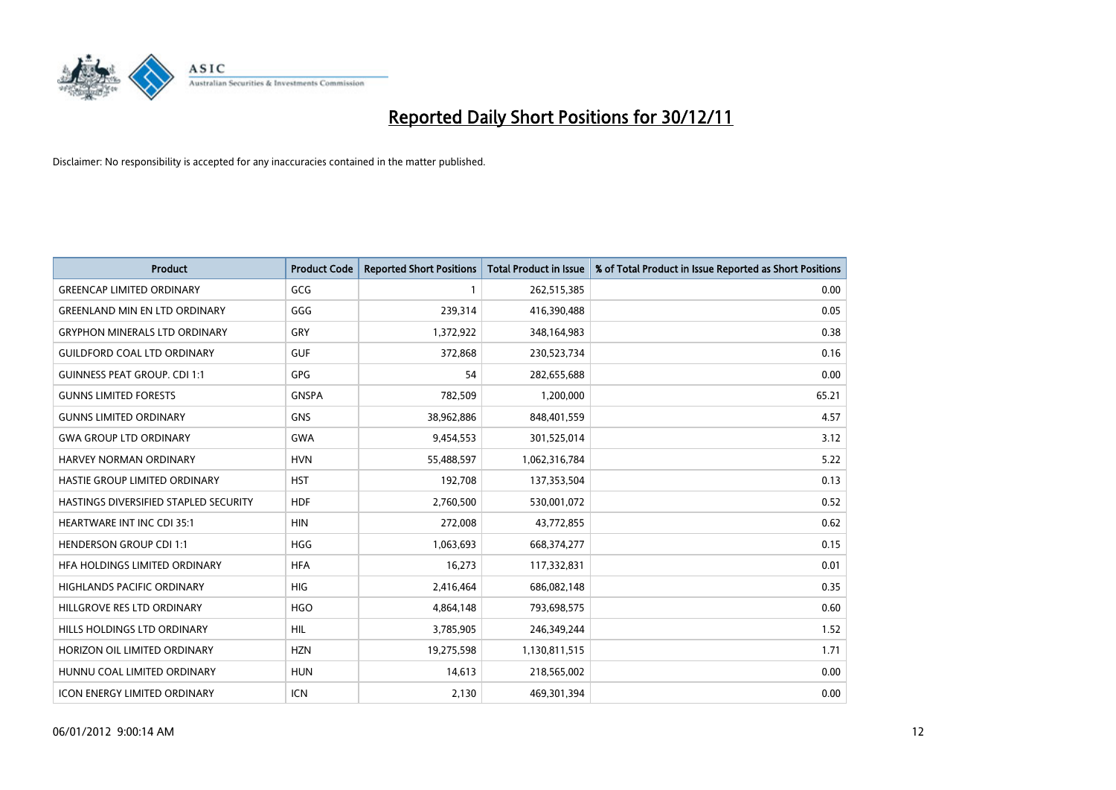

| <b>Product</b>                        | <b>Product Code</b> | <b>Reported Short Positions</b> | <b>Total Product in Issue</b> | % of Total Product in Issue Reported as Short Positions |
|---------------------------------------|---------------------|---------------------------------|-------------------------------|---------------------------------------------------------|
| <b>GREENCAP LIMITED ORDINARY</b>      | GCG                 |                                 | 262,515,385                   | 0.00                                                    |
| <b>GREENLAND MIN EN LTD ORDINARY</b>  | GGG                 | 239,314                         | 416,390,488                   | 0.05                                                    |
| <b>GRYPHON MINERALS LTD ORDINARY</b>  | GRY                 | 1,372,922                       | 348,164,983                   | 0.38                                                    |
| <b>GUILDFORD COAL LTD ORDINARY</b>    | <b>GUF</b>          | 372,868                         | 230,523,734                   | 0.16                                                    |
| <b>GUINNESS PEAT GROUP. CDI 1:1</b>   | <b>GPG</b>          | 54                              | 282,655,688                   | 0.00                                                    |
| <b>GUNNS LIMITED FORESTS</b>          | <b>GNSPA</b>        | 782,509                         | 1,200,000                     | 65.21                                                   |
| <b>GUNNS LIMITED ORDINARY</b>         | GNS                 | 38,962,886                      | 848,401,559                   | 4.57                                                    |
| <b>GWA GROUP LTD ORDINARY</b>         | <b>GWA</b>          | 9,454,553                       | 301,525,014                   | 3.12                                                    |
| HARVEY NORMAN ORDINARY                | <b>HVN</b>          | 55,488,597                      | 1,062,316,784                 | 5.22                                                    |
| HASTIE GROUP LIMITED ORDINARY         | <b>HST</b>          | 192,708                         | 137,353,504                   | 0.13                                                    |
| HASTINGS DIVERSIFIED STAPLED SECURITY | <b>HDF</b>          | 2,760,500                       | 530,001,072                   | 0.52                                                    |
| <b>HEARTWARE INT INC CDI 35:1</b>     | <b>HIN</b>          | 272,008                         | 43,772,855                    | 0.62                                                    |
| <b>HENDERSON GROUP CDI 1:1</b>        | <b>HGG</b>          | 1,063,693                       | 668,374,277                   | 0.15                                                    |
| HFA HOLDINGS LIMITED ORDINARY         | <b>HFA</b>          | 16,273                          | 117,332,831                   | 0.01                                                    |
| <b>HIGHLANDS PACIFIC ORDINARY</b>     | <b>HIG</b>          | 2,416,464                       | 686,082,148                   | 0.35                                                    |
| HILLGROVE RES LTD ORDINARY            | <b>HGO</b>          | 4,864,148                       | 793,698,575                   | 0.60                                                    |
| HILLS HOLDINGS LTD ORDINARY           | <b>HIL</b>          | 3,785,905                       | 246,349,244                   | 1.52                                                    |
| HORIZON OIL LIMITED ORDINARY          | <b>HZN</b>          | 19,275,598                      | 1,130,811,515                 | 1.71                                                    |
| HUNNU COAL LIMITED ORDINARY           | <b>HUN</b>          | 14,613                          | 218,565,002                   | 0.00                                                    |
| <b>ICON ENERGY LIMITED ORDINARY</b>   | <b>ICN</b>          | 2,130                           | 469,301,394                   | 0.00                                                    |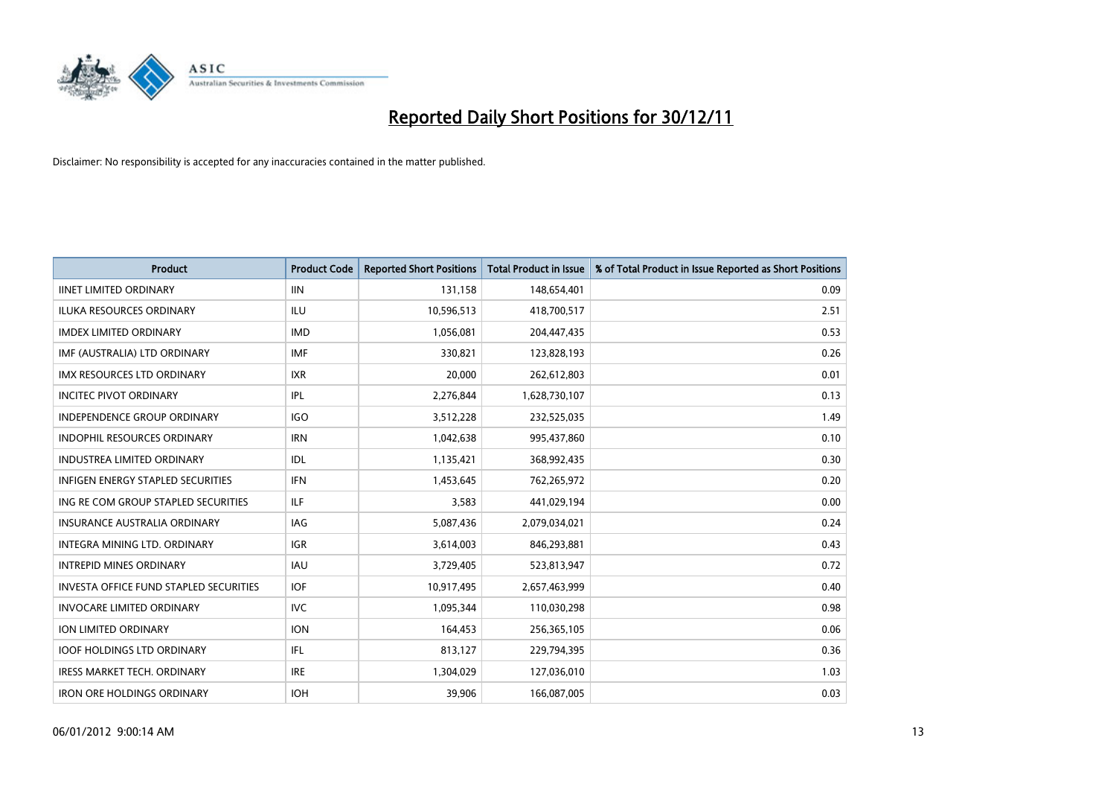

| <b>Product</b>                                | <b>Product Code</b> | <b>Reported Short Positions</b> | <b>Total Product in Issue</b> | % of Total Product in Issue Reported as Short Positions |
|-----------------------------------------------|---------------------|---------------------------------|-------------------------------|---------------------------------------------------------|
| <b>IINET LIMITED ORDINARY</b>                 | <b>IIN</b>          | 131,158                         | 148,654,401                   | 0.09                                                    |
| ILUKA RESOURCES ORDINARY                      | ILU                 | 10,596,513                      | 418,700,517                   | 2.51                                                    |
| <b>IMDEX LIMITED ORDINARY</b>                 | <b>IMD</b>          | 1,056,081                       | 204,447,435                   | 0.53                                                    |
| IMF (AUSTRALIA) LTD ORDINARY                  | <b>IMF</b>          | 330,821                         | 123,828,193                   | 0.26                                                    |
| <b>IMX RESOURCES LTD ORDINARY</b>             | <b>IXR</b>          | 20,000                          | 262,612,803                   | 0.01                                                    |
| <b>INCITEC PIVOT ORDINARY</b>                 | IPL                 | 2,276,844                       | 1,628,730,107                 | 0.13                                                    |
| INDEPENDENCE GROUP ORDINARY                   | <b>IGO</b>          | 3,512,228                       | 232,525,035                   | 1.49                                                    |
| <b>INDOPHIL RESOURCES ORDINARY</b>            | <b>IRN</b>          | 1,042,638                       | 995,437,860                   | 0.10                                                    |
| <b>INDUSTREA LIMITED ORDINARY</b>             | IDL                 | 1,135,421                       | 368,992,435                   | 0.30                                                    |
| <b>INFIGEN ENERGY STAPLED SECURITIES</b>      | <b>IFN</b>          | 1,453,645                       | 762,265,972                   | 0.20                                                    |
| ING RE COM GROUP STAPLED SECURITIES           | ILF.                | 3,583                           | 441,029,194                   | 0.00                                                    |
| <b>INSURANCE AUSTRALIA ORDINARY</b>           | IAG                 | 5,087,436                       | 2,079,034,021                 | 0.24                                                    |
| <b>INTEGRA MINING LTD, ORDINARY</b>           | <b>IGR</b>          | 3,614,003                       | 846,293,881                   | 0.43                                                    |
| <b>INTREPID MINES ORDINARY</b>                | <b>IAU</b>          | 3,729,405                       | 523,813,947                   | 0.72                                                    |
| <b>INVESTA OFFICE FUND STAPLED SECURITIES</b> | <b>IOF</b>          | 10,917,495                      | 2,657,463,999                 | 0.40                                                    |
| <b>INVOCARE LIMITED ORDINARY</b>              | <b>IVC</b>          | 1,095,344                       | 110,030,298                   | 0.98                                                    |
| <b>ION LIMITED ORDINARY</b>                   | <b>ION</b>          | 164,453                         | 256,365,105                   | 0.06                                                    |
| <b>IOOF HOLDINGS LTD ORDINARY</b>             | <b>IFL</b>          | 813,127                         | 229,794,395                   | 0.36                                                    |
| <b>IRESS MARKET TECH. ORDINARY</b>            | <b>IRE</b>          | 1,304,029                       | 127,036,010                   | 1.03                                                    |
| <b>IRON ORE HOLDINGS ORDINARY</b>             | <b>IOH</b>          | 39,906                          | 166,087,005                   | 0.03                                                    |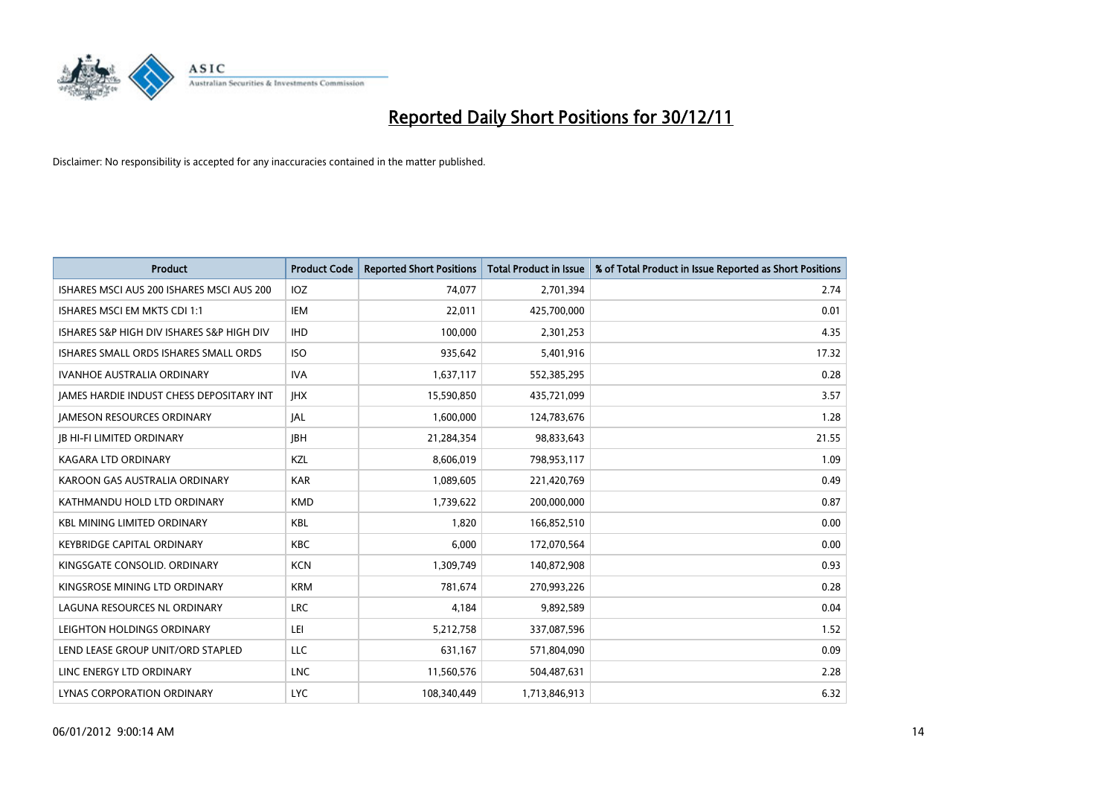

| <b>Product</b>                            | <b>Product Code</b> | <b>Reported Short Positions</b> | <b>Total Product in Issue</b> | % of Total Product in Issue Reported as Short Positions |
|-------------------------------------------|---------------------|---------------------------------|-------------------------------|---------------------------------------------------------|
| ISHARES MSCI AUS 200 ISHARES MSCI AUS 200 | <b>IOZ</b>          | 74,077                          | 2,701,394                     | 2.74                                                    |
| ISHARES MSCI EM MKTS CDI 1:1              | IEM                 | 22,011                          | 425,700,000                   | 0.01                                                    |
| ISHARES S&P HIGH DIV ISHARES S&P HIGH DIV | <b>IHD</b>          | 100,000                         | 2,301,253                     | 4.35                                                    |
| ISHARES SMALL ORDS ISHARES SMALL ORDS     | <b>ISO</b>          | 935,642                         | 5,401,916                     | 17.32                                                   |
| <b>IVANHOE AUSTRALIA ORDINARY</b>         | <b>IVA</b>          | 1,637,117                       | 552,385,295                   | 0.28                                                    |
| JAMES HARDIE INDUST CHESS DEPOSITARY INT  | <b>IHX</b>          | 15,590,850                      | 435,721,099                   | 3.57                                                    |
| <b>JAMESON RESOURCES ORDINARY</b>         | IAL                 | 1,600,000                       | 124,783,676                   | 1.28                                                    |
| <b>JB HI-FI LIMITED ORDINARY</b>          | <b>IBH</b>          | 21,284,354                      | 98,833,643                    | 21.55                                                   |
| KAGARA LTD ORDINARY                       | KZL                 | 8,606,019                       | 798,953,117                   | 1.09                                                    |
| KAROON GAS AUSTRALIA ORDINARY             | <b>KAR</b>          | 1,089,605                       | 221,420,769                   | 0.49                                                    |
| KATHMANDU HOLD LTD ORDINARY               | <b>KMD</b>          | 1,739,622                       | 200,000,000                   | 0.87                                                    |
| <b>KBL MINING LIMITED ORDINARY</b>        | <b>KBL</b>          | 1,820                           | 166,852,510                   | 0.00                                                    |
| <b>KEYBRIDGE CAPITAL ORDINARY</b>         | <b>KBC</b>          | 6,000                           | 172,070,564                   | 0.00                                                    |
| KINGSGATE CONSOLID. ORDINARY              | <b>KCN</b>          | 1,309,749                       | 140,872,908                   | 0.93                                                    |
| KINGSROSE MINING LTD ORDINARY             | <b>KRM</b>          | 781,674                         | 270,993,226                   | 0.28                                                    |
| LAGUNA RESOURCES NL ORDINARY              | <b>LRC</b>          | 4,184                           | 9,892,589                     | 0.04                                                    |
| LEIGHTON HOLDINGS ORDINARY                | LEI                 | 5,212,758                       | 337,087,596                   | 1.52                                                    |
| LEND LEASE GROUP UNIT/ORD STAPLED         | LLC                 | 631,167                         | 571,804,090                   | 0.09                                                    |
| LINC ENERGY LTD ORDINARY                  | <b>LNC</b>          | 11,560,576                      | 504,487,631                   | 2.28                                                    |
| LYNAS CORPORATION ORDINARY                | <b>LYC</b>          | 108.340.449                     | 1,713,846,913                 | 6.32                                                    |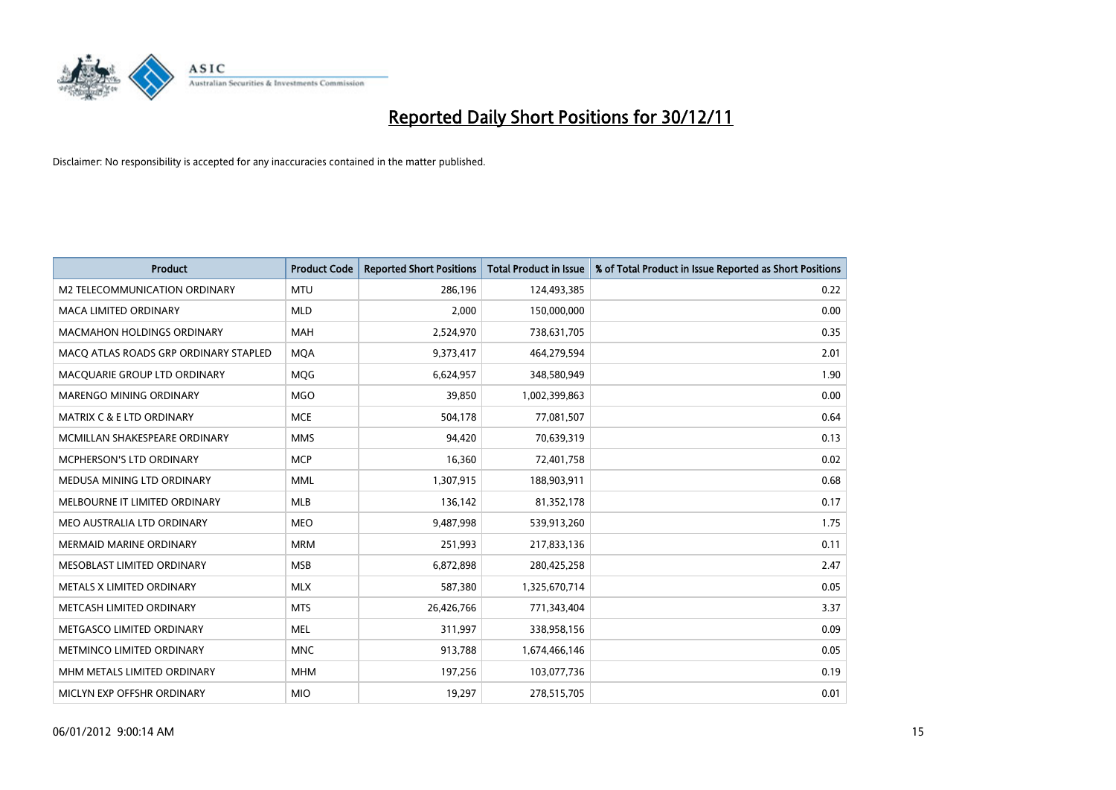

| <b>Product</b>                        | <b>Product Code</b> | <b>Reported Short Positions</b> | <b>Total Product in Issue</b> | % of Total Product in Issue Reported as Short Positions |
|---------------------------------------|---------------------|---------------------------------|-------------------------------|---------------------------------------------------------|
| M2 TELECOMMUNICATION ORDINARY         | <b>MTU</b>          | 286,196                         | 124,493,385                   | 0.22                                                    |
| MACA LIMITED ORDINARY                 | <b>MLD</b>          | 2,000                           | 150,000,000                   | 0.00                                                    |
| <b>MACMAHON HOLDINGS ORDINARY</b>     | <b>MAH</b>          | 2,524,970                       | 738,631,705                   | 0.35                                                    |
| MACQ ATLAS ROADS GRP ORDINARY STAPLED | <b>MQA</b>          | 9,373,417                       | 464,279,594                   | 2.01                                                    |
| MACQUARIE GROUP LTD ORDINARY          | <b>MOG</b>          | 6,624,957                       | 348,580,949                   | 1.90                                                    |
| MARENGO MINING ORDINARY               | <b>MGO</b>          | 39,850                          | 1,002,399,863                 | 0.00                                                    |
| <b>MATRIX C &amp; E LTD ORDINARY</b>  | <b>MCE</b>          | 504,178                         | 77,081,507                    | 0.64                                                    |
| MCMILLAN SHAKESPEARE ORDINARY         | <b>MMS</b>          | 94,420                          | 70,639,319                    | 0.13                                                    |
| MCPHERSON'S LTD ORDINARY              | <b>MCP</b>          | 16,360                          | 72,401,758                    | 0.02                                                    |
| MEDUSA MINING LTD ORDINARY            | <b>MML</b>          | 1,307,915                       | 188,903,911                   | 0.68                                                    |
| MELBOURNE IT LIMITED ORDINARY         | MLB                 | 136,142                         | 81,352,178                    | 0.17                                                    |
| MEO AUSTRALIA LTD ORDINARY            | <b>MEO</b>          | 9,487,998                       | 539,913,260                   | 1.75                                                    |
| MERMAID MARINE ORDINARY               | <b>MRM</b>          | 251,993                         | 217,833,136                   | 0.11                                                    |
| MESOBLAST LIMITED ORDINARY            | <b>MSB</b>          | 6,872,898                       | 280,425,258                   | 2.47                                                    |
| METALS X LIMITED ORDINARY             | <b>MLX</b>          | 587,380                         | 1,325,670,714                 | 0.05                                                    |
| METCASH LIMITED ORDINARY              | <b>MTS</b>          | 26,426,766                      | 771,343,404                   | 3.37                                                    |
| METGASCO LIMITED ORDINARY             | <b>MEL</b>          | 311,997                         | 338,958,156                   | 0.09                                                    |
| METMINCO LIMITED ORDINARY             | <b>MNC</b>          | 913,788                         | 1,674,466,146                 | 0.05                                                    |
| MHM METALS LIMITED ORDINARY           | <b>MHM</b>          | 197,256                         | 103,077,736                   | 0.19                                                    |
| MICLYN EXP OFFSHR ORDINARY            | <b>MIO</b>          | 19,297                          | 278,515,705                   | 0.01                                                    |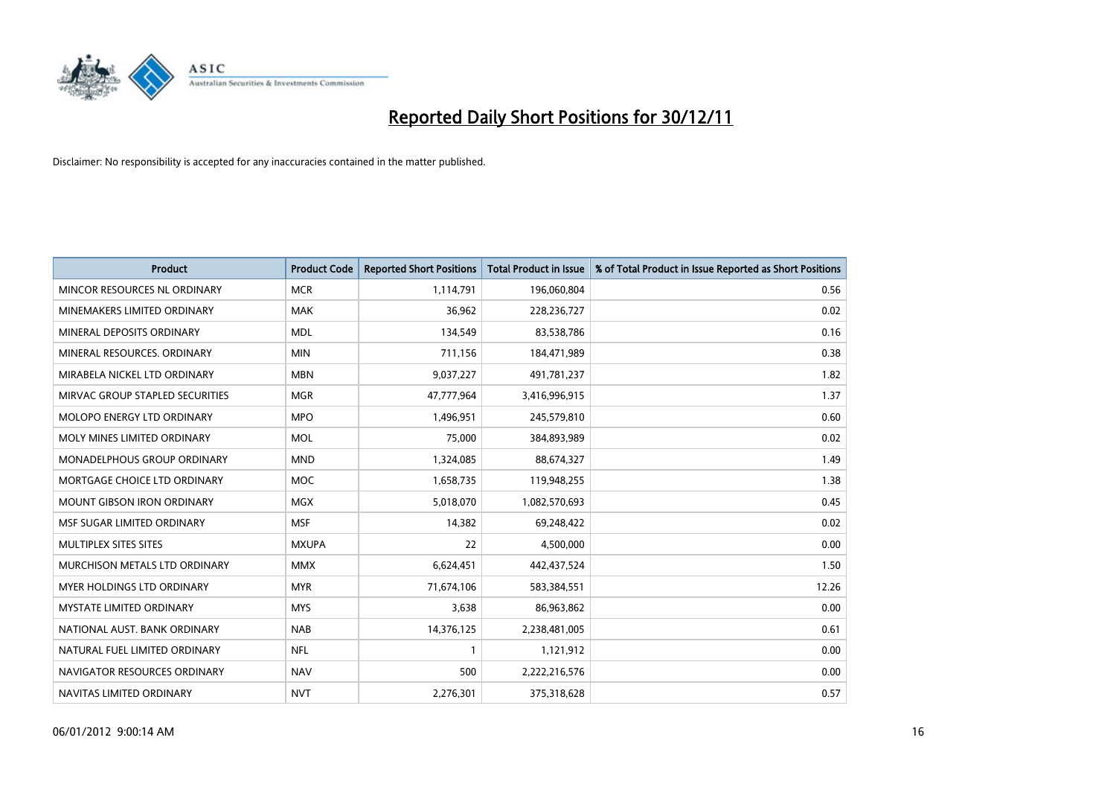

| <b>Product</b>                     | <b>Product Code</b> | <b>Reported Short Positions</b> | <b>Total Product in Issue</b> | % of Total Product in Issue Reported as Short Positions |
|------------------------------------|---------------------|---------------------------------|-------------------------------|---------------------------------------------------------|
| MINCOR RESOURCES NL ORDINARY       | <b>MCR</b>          | 1,114,791                       | 196,060,804                   | 0.56                                                    |
| MINEMAKERS LIMITED ORDINARY        | <b>MAK</b>          | 36,962                          | 228,236,727                   | 0.02                                                    |
| MINERAL DEPOSITS ORDINARY          | <b>MDL</b>          | 134,549                         | 83,538,786                    | 0.16                                                    |
| MINERAL RESOURCES. ORDINARY        | <b>MIN</b>          | 711,156                         | 184,471,989                   | 0.38                                                    |
| MIRABELA NICKEL LTD ORDINARY       | <b>MBN</b>          | 9,037,227                       | 491,781,237                   | 1.82                                                    |
| MIRVAC GROUP STAPLED SECURITIES    | <b>MGR</b>          | 47,777,964                      | 3,416,996,915                 | 1.37                                                    |
| <b>MOLOPO ENERGY LTD ORDINARY</b>  | <b>MPO</b>          | 1,496,951                       | 245,579,810                   | 0.60                                                    |
| MOLY MINES LIMITED ORDINARY        | <b>MOL</b>          | 75,000                          | 384,893,989                   | 0.02                                                    |
| <b>MONADELPHOUS GROUP ORDINARY</b> | <b>MND</b>          | 1,324,085                       | 88,674,327                    | 1.49                                                    |
| MORTGAGE CHOICE LTD ORDINARY       | <b>MOC</b>          | 1,658,735                       | 119,948,255                   | 1.38                                                    |
| MOUNT GIBSON IRON ORDINARY         | <b>MGX</b>          | 5,018,070                       | 1,082,570,693                 | 0.45                                                    |
| MSF SUGAR LIMITED ORDINARY         | <b>MSF</b>          | 14,382                          | 69,248,422                    | 0.02                                                    |
| MULTIPLEX SITES SITES              | <b>MXUPA</b>        | 22                              | 4,500,000                     | 0.00                                                    |
| MURCHISON METALS LTD ORDINARY      | <b>MMX</b>          | 6,624,451                       | 442,437,524                   | 1.50                                                    |
| <b>MYER HOLDINGS LTD ORDINARY</b>  | <b>MYR</b>          | 71,674,106                      | 583,384,551                   | 12.26                                                   |
| <b>MYSTATE LIMITED ORDINARY</b>    | <b>MYS</b>          | 3,638                           | 86,963,862                    | 0.00                                                    |
| NATIONAL AUST. BANK ORDINARY       | <b>NAB</b>          | 14,376,125                      | 2,238,481,005                 | 0.61                                                    |
| NATURAL FUEL LIMITED ORDINARY      | <b>NFL</b>          |                                 | 1,121,912                     | 0.00                                                    |
| NAVIGATOR RESOURCES ORDINARY       | <b>NAV</b>          | 500                             | 2,222,216,576                 | 0.00                                                    |
| NAVITAS LIMITED ORDINARY           | <b>NVT</b>          | 2,276,301                       | 375,318,628                   | 0.57                                                    |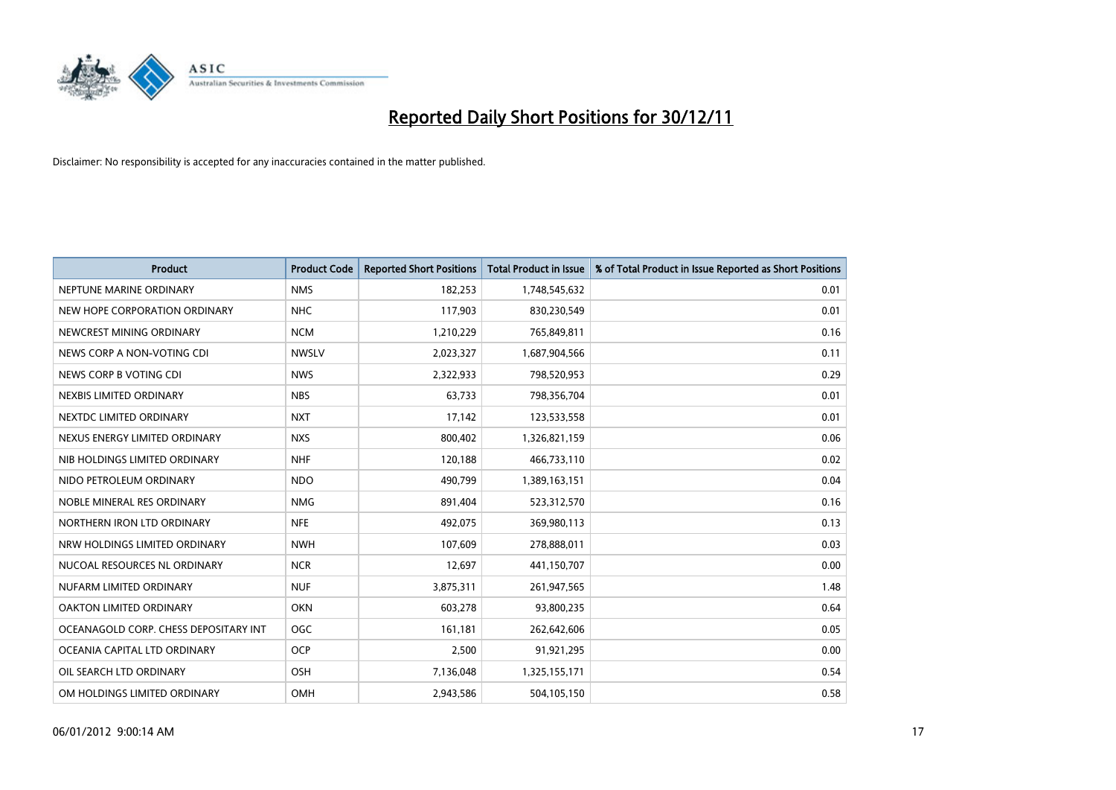

| <b>Product</b>                        | <b>Product Code</b> | <b>Reported Short Positions</b> | <b>Total Product in Issue</b> | % of Total Product in Issue Reported as Short Positions |
|---------------------------------------|---------------------|---------------------------------|-------------------------------|---------------------------------------------------------|
| NEPTUNE MARINE ORDINARY               | <b>NMS</b>          | 182,253                         | 1,748,545,632                 | 0.01                                                    |
| NEW HOPE CORPORATION ORDINARY         | <b>NHC</b>          | 117,903                         | 830,230,549                   | 0.01                                                    |
| NEWCREST MINING ORDINARY              | <b>NCM</b>          | 1,210,229                       | 765,849,811                   | 0.16                                                    |
| NEWS CORP A NON-VOTING CDI            | <b>NWSLV</b>        | 2,023,327                       | 1,687,904,566                 | 0.11                                                    |
| NEWS CORP B VOTING CDI                | <b>NWS</b>          | 2,322,933                       | 798,520,953                   | 0.29                                                    |
| NEXBIS LIMITED ORDINARY               | <b>NBS</b>          | 63,733                          | 798,356,704                   | 0.01                                                    |
| NEXTDC LIMITED ORDINARY               | <b>NXT</b>          | 17,142                          | 123,533,558                   | 0.01                                                    |
| NEXUS ENERGY LIMITED ORDINARY         | <b>NXS</b>          | 800,402                         | 1,326,821,159                 | 0.06                                                    |
| NIB HOLDINGS LIMITED ORDINARY         | <b>NHF</b>          | 120,188                         | 466,733,110                   | 0.02                                                    |
| NIDO PETROLEUM ORDINARY               | <b>NDO</b>          | 490,799                         | 1,389,163,151                 | 0.04                                                    |
| NOBLE MINERAL RES ORDINARY            | <b>NMG</b>          | 891,404                         | 523,312,570                   | 0.16                                                    |
| NORTHERN IRON LTD ORDINARY            | <b>NFE</b>          | 492,075                         | 369,980,113                   | 0.13                                                    |
| NRW HOLDINGS LIMITED ORDINARY         | <b>NWH</b>          | 107,609                         | 278,888,011                   | 0.03                                                    |
| NUCOAL RESOURCES NL ORDINARY          | <b>NCR</b>          | 12,697                          | 441,150,707                   | 0.00                                                    |
| NUFARM LIMITED ORDINARY               | <b>NUF</b>          | 3,875,311                       | 261,947,565                   | 1.48                                                    |
| OAKTON LIMITED ORDINARY               | <b>OKN</b>          | 603,278                         | 93,800,235                    | 0.64                                                    |
| OCEANAGOLD CORP. CHESS DEPOSITARY INT | <b>OGC</b>          | 161,181                         | 262,642,606                   | 0.05                                                    |
| OCEANIA CAPITAL LTD ORDINARY          | <b>OCP</b>          | 2,500                           | 91,921,295                    | 0.00                                                    |
| OIL SEARCH LTD ORDINARY               | <b>OSH</b>          | 7,136,048                       | 1,325,155,171                 | 0.54                                                    |
| OM HOLDINGS LIMITED ORDINARY          | <b>OMH</b>          | 2.943.586                       | 504,105,150                   | 0.58                                                    |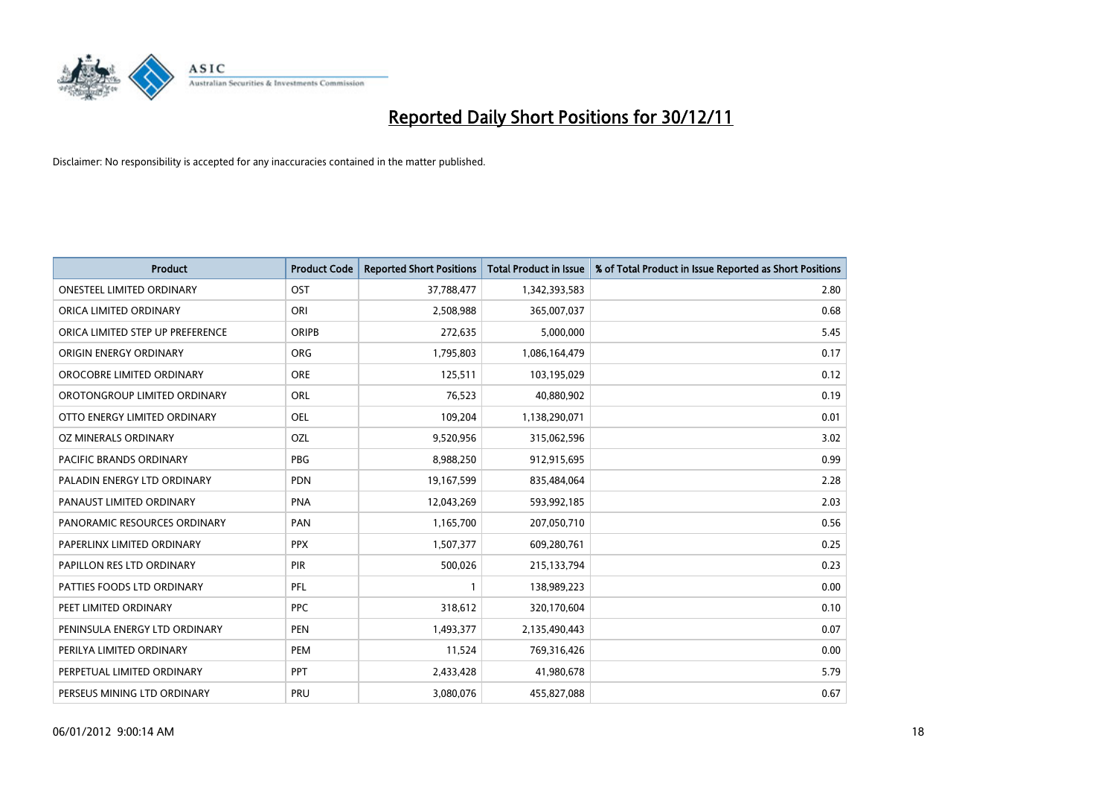

| <b>Product</b>                   | <b>Product Code</b> | <b>Reported Short Positions</b> | <b>Total Product in Issue</b> | % of Total Product in Issue Reported as Short Positions |
|----------------------------------|---------------------|---------------------------------|-------------------------------|---------------------------------------------------------|
| <b>ONESTEEL LIMITED ORDINARY</b> | OST                 | 37,788,477                      | 1,342,393,583                 | 2.80                                                    |
| ORICA LIMITED ORDINARY           | ORI                 | 2,508,988                       | 365,007,037                   | 0.68                                                    |
| ORICA LIMITED STEP UP PREFERENCE | <b>ORIPB</b>        | 272,635                         | 5,000,000                     | 5.45                                                    |
| <b>ORIGIN ENERGY ORDINARY</b>    | <b>ORG</b>          | 1,795,803                       | 1,086,164,479                 | 0.17                                                    |
| OROCOBRE LIMITED ORDINARY        | <b>ORE</b>          | 125,511                         | 103,195,029                   | 0.12                                                    |
| OROTONGROUP LIMITED ORDINARY     | ORL                 | 76,523                          | 40,880,902                    | 0.19                                                    |
| OTTO ENERGY LIMITED ORDINARY     | OEL                 | 109,204                         | 1,138,290,071                 | 0.01                                                    |
| OZ MINERALS ORDINARY             | OZL                 | 9,520,956                       | 315,062,596                   | 3.02                                                    |
| PACIFIC BRANDS ORDINARY          | <b>PBG</b>          | 8,988,250                       | 912,915,695                   | 0.99                                                    |
| PALADIN ENERGY LTD ORDINARY      | <b>PDN</b>          | 19,167,599                      | 835,484,064                   | 2.28                                                    |
| PANAUST LIMITED ORDINARY         | <b>PNA</b>          | 12,043,269                      | 593,992,185                   | 2.03                                                    |
| PANORAMIC RESOURCES ORDINARY     | PAN                 | 1,165,700                       | 207,050,710                   | 0.56                                                    |
| PAPERLINX LIMITED ORDINARY       | <b>PPX</b>          | 1,507,377                       | 609,280,761                   | 0.25                                                    |
| PAPILLON RES LTD ORDINARY        | <b>PIR</b>          | 500,026                         | 215,133,794                   | 0.23                                                    |
| PATTIES FOODS LTD ORDINARY       | PFL                 |                                 | 138,989,223                   | 0.00                                                    |
| PEET LIMITED ORDINARY            | <b>PPC</b>          | 318,612                         | 320,170,604                   | 0.10                                                    |
| PENINSULA ENERGY LTD ORDINARY    | PEN                 | 1,493,377                       | 2,135,490,443                 | 0.07                                                    |
| PERILYA LIMITED ORDINARY         | PEM                 | 11,524                          | 769,316,426                   | 0.00                                                    |
| PERPETUAL LIMITED ORDINARY       | <b>PPT</b>          | 2,433,428                       | 41,980,678                    | 5.79                                                    |
| PERSEUS MINING LTD ORDINARY      | PRU                 | 3,080,076                       | 455,827,088                   | 0.67                                                    |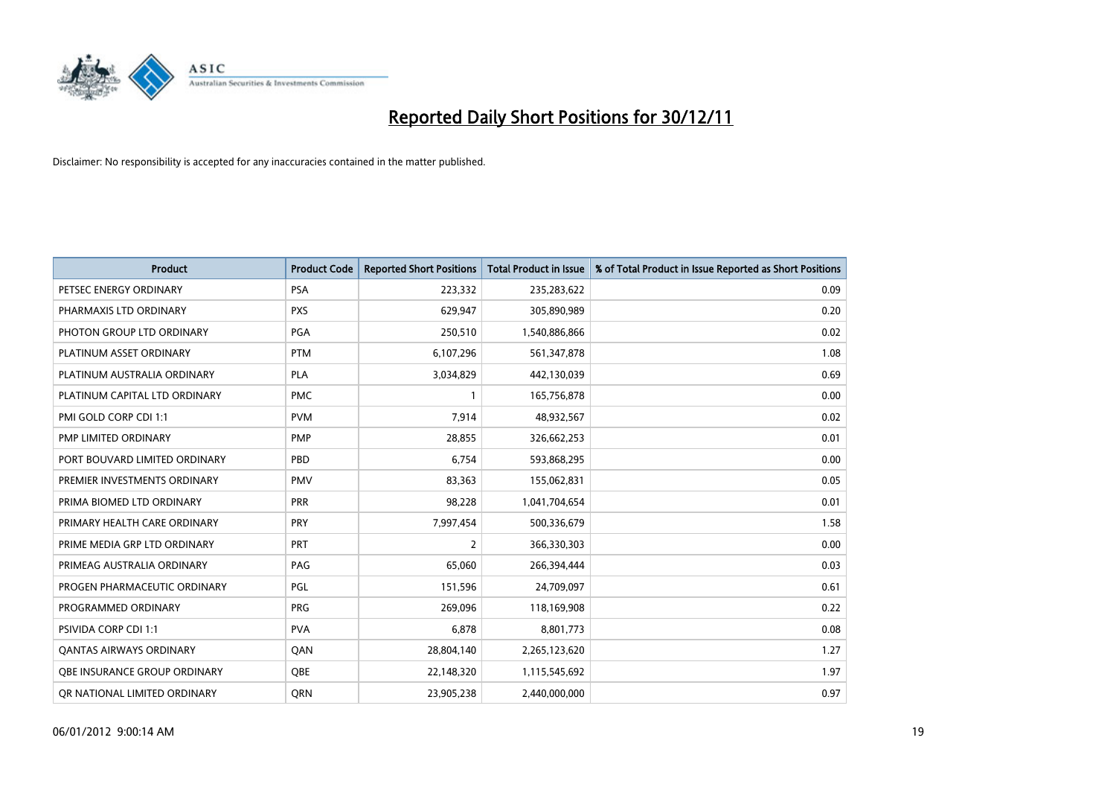

| <b>Product</b>                 | <b>Product Code</b> | <b>Reported Short Positions</b> | <b>Total Product in Issue</b> | % of Total Product in Issue Reported as Short Positions |
|--------------------------------|---------------------|---------------------------------|-------------------------------|---------------------------------------------------------|
| PETSEC ENERGY ORDINARY         | <b>PSA</b>          | 223,332                         | 235,283,622                   | 0.09                                                    |
| PHARMAXIS LTD ORDINARY         | <b>PXS</b>          | 629,947                         | 305,890,989                   | 0.20                                                    |
| PHOTON GROUP LTD ORDINARY      | PGA                 | 250,510                         | 1,540,886,866                 | 0.02                                                    |
| PLATINUM ASSET ORDINARY        | <b>PTM</b>          | 6,107,296                       | 561,347,878                   | 1.08                                                    |
| PLATINUM AUSTRALIA ORDINARY    | <b>PLA</b>          | 3,034,829                       | 442,130,039                   | 0.69                                                    |
| PLATINUM CAPITAL LTD ORDINARY  | <b>PMC</b>          |                                 | 165,756,878                   | 0.00                                                    |
| PMI GOLD CORP CDI 1:1          | <b>PVM</b>          | 7,914                           | 48,932,567                    | 0.02                                                    |
| PMP LIMITED ORDINARY           | <b>PMP</b>          | 28,855                          | 326,662,253                   | 0.01                                                    |
| PORT BOUVARD LIMITED ORDINARY  | PBD                 | 6,754                           | 593,868,295                   | 0.00                                                    |
| PREMIER INVESTMENTS ORDINARY   | <b>PMV</b>          | 83,363                          | 155,062,831                   | 0.05                                                    |
| PRIMA BIOMED LTD ORDINARY      | <b>PRR</b>          | 98,228                          | 1,041,704,654                 | 0.01                                                    |
| PRIMARY HEALTH CARE ORDINARY   | PRY                 | 7,997,454                       | 500,336,679                   | 1.58                                                    |
| PRIME MEDIA GRP LTD ORDINARY   | PRT                 | 2                               | 366,330,303                   | 0.00                                                    |
| PRIMEAG AUSTRALIA ORDINARY     | PAG                 | 65,060                          | 266,394,444                   | 0.03                                                    |
| PROGEN PHARMACEUTIC ORDINARY   | PGL                 | 151,596                         | 24,709,097                    | 0.61                                                    |
| PROGRAMMED ORDINARY            | <b>PRG</b>          | 269,096                         | 118,169,908                   | 0.22                                                    |
| <b>PSIVIDA CORP CDI 1:1</b>    | <b>PVA</b>          | 6,878                           | 8,801,773                     | 0.08                                                    |
| <b>QANTAS AIRWAYS ORDINARY</b> | QAN                 | 28,804,140                      | 2,265,123,620                 | 1.27                                                    |
| OBE INSURANCE GROUP ORDINARY   | <b>OBE</b>          | 22,148,320                      | 1,115,545,692                 | 1.97                                                    |
| OR NATIONAL LIMITED ORDINARY   | <b>ORN</b>          | 23,905,238                      | 2.440.000.000                 | 0.97                                                    |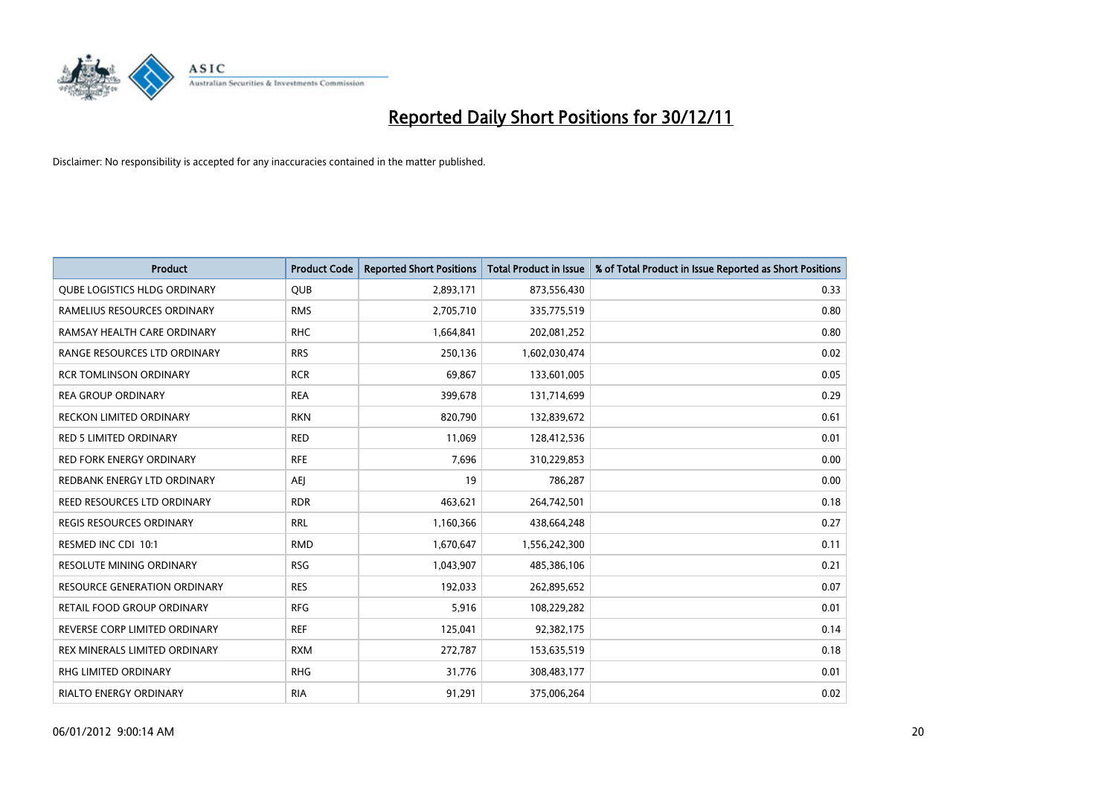

| <b>Product</b>                      | <b>Product Code</b> | <b>Reported Short Positions</b> | <b>Total Product in Issue</b> | % of Total Product in Issue Reported as Short Positions |
|-------------------------------------|---------------------|---------------------------------|-------------------------------|---------------------------------------------------------|
| <b>OUBE LOGISTICS HLDG ORDINARY</b> | QUB                 | 2,893,171                       | 873,556,430                   | 0.33                                                    |
| RAMELIUS RESOURCES ORDINARY         | <b>RMS</b>          | 2,705,710                       | 335,775,519                   | 0.80                                                    |
| RAMSAY HEALTH CARE ORDINARY         | <b>RHC</b>          | 1,664,841                       | 202,081,252                   | 0.80                                                    |
| RANGE RESOURCES LTD ORDINARY        | <b>RRS</b>          | 250,136                         | 1,602,030,474                 | 0.02                                                    |
| <b>RCR TOMLINSON ORDINARY</b>       | <b>RCR</b>          | 69,867                          | 133,601,005                   | 0.05                                                    |
| <b>REA GROUP ORDINARY</b>           | <b>REA</b>          | 399,678                         | 131,714,699                   | 0.29                                                    |
| RECKON LIMITED ORDINARY             | <b>RKN</b>          | 820,790                         | 132,839,672                   | 0.61                                                    |
| RED 5 LIMITED ORDINARY              | <b>RED</b>          | 11,069                          | 128,412,536                   | 0.01                                                    |
| <b>RED FORK ENERGY ORDINARY</b>     | <b>RFE</b>          | 7,696                           | 310,229,853                   | 0.00                                                    |
| REDBANK ENERGY LTD ORDINARY         | AEJ                 | 19                              | 786,287                       | 0.00                                                    |
| REED RESOURCES LTD ORDINARY         | <b>RDR</b>          | 463,621                         | 264,742,501                   | 0.18                                                    |
| <b>REGIS RESOURCES ORDINARY</b>     | <b>RRL</b>          | 1,160,366                       | 438,664,248                   | 0.27                                                    |
| RESMED INC CDI 10:1                 | <b>RMD</b>          | 1,670,647                       | 1,556,242,300                 | 0.11                                                    |
| RESOLUTE MINING ORDINARY            | <b>RSG</b>          | 1,043,907                       | 485,386,106                   | 0.21                                                    |
| <b>RESOURCE GENERATION ORDINARY</b> | <b>RES</b>          | 192,033                         | 262,895,652                   | 0.07                                                    |
| RETAIL FOOD GROUP ORDINARY          | <b>RFG</b>          | 5,916                           | 108,229,282                   | 0.01                                                    |
| REVERSE CORP LIMITED ORDINARY       | <b>REF</b>          | 125,041                         | 92,382,175                    | 0.14                                                    |
| REX MINERALS LIMITED ORDINARY       | <b>RXM</b>          | 272,787                         | 153,635,519                   | 0.18                                                    |
| RHG LIMITED ORDINARY                | <b>RHG</b>          | 31,776                          | 308,483,177                   | 0.01                                                    |
| RIALTO ENERGY ORDINARY              | <b>RIA</b>          | 91,291                          | 375,006,264                   | 0.02                                                    |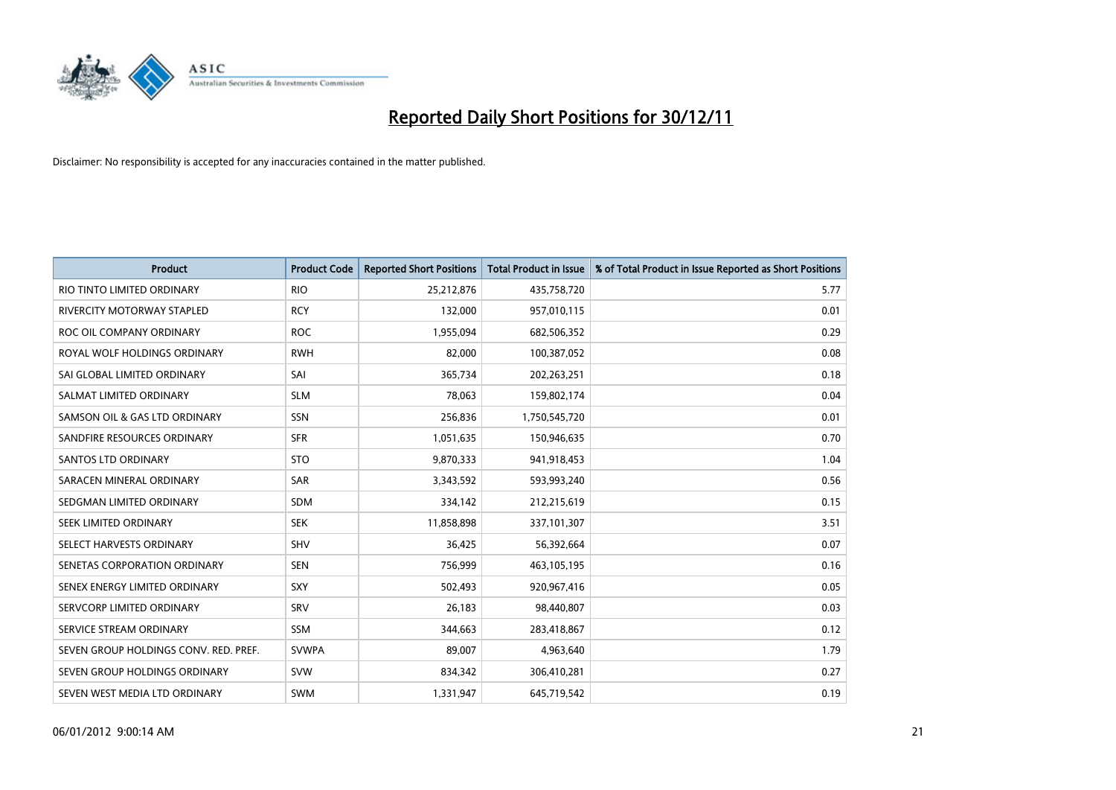

| <b>Product</b>                        | <b>Product Code</b> | <b>Reported Short Positions</b> | <b>Total Product in Issue</b> | % of Total Product in Issue Reported as Short Positions |
|---------------------------------------|---------------------|---------------------------------|-------------------------------|---------------------------------------------------------|
| RIO TINTO LIMITED ORDINARY            | <b>RIO</b>          | 25,212,876                      | 435,758,720                   | 5.77                                                    |
| RIVERCITY MOTORWAY STAPLED            | <b>RCY</b>          | 132,000                         | 957,010,115                   | 0.01                                                    |
| ROC OIL COMPANY ORDINARY              | <b>ROC</b>          | 1,955,094                       | 682,506,352                   | 0.29                                                    |
| ROYAL WOLF HOLDINGS ORDINARY          | <b>RWH</b>          | 82,000                          | 100,387,052                   | 0.08                                                    |
| SAI GLOBAL LIMITED ORDINARY           | SAI                 | 365,734                         | 202,263,251                   | 0.18                                                    |
| SALMAT LIMITED ORDINARY               | <b>SLM</b>          | 78,063                          | 159,802,174                   | 0.04                                                    |
| SAMSON OIL & GAS LTD ORDINARY         | SSN                 | 256,836                         | 1,750,545,720                 | 0.01                                                    |
| SANDFIRE RESOURCES ORDINARY           | <b>SFR</b>          | 1,051,635                       | 150,946,635                   | 0.70                                                    |
| <b>SANTOS LTD ORDINARY</b>            | <b>STO</b>          | 9,870,333                       | 941,918,453                   | 1.04                                                    |
| SARACEN MINERAL ORDINARY              | <b>SAR</b>          | 3,343,592                       | 593,993,240                   | 0.56                                                    |
| SEDGMAN LIMITED ORDINARY              | <b>SDM</b>          | 334,142                         | 212,215,619                   | 0.15                                                    |
| <b>SEEK LIMITED ORDINARY</b>          | <b>SEK</b>          | 11,858,898                      | 337,101,307                   | 3.51                                                    |
| SELECT HARVESTS ORDINARY              | <b>SHV</b>          | 36,425                          | 56,392,664                    | 0.07                                                    |
| SENETAS CORPORATION ORDINARY          | <b>SEN</b>          | 756,999                         | 463,105,195                   | 0.16                                                    |
| SENEX ENERGY LIMITED ORDINARY         | <b>SXY</b>          | 502,493                         | 920,967,416                   | 0.05                                                    |
| SERVCORP LIMITED ORDINARY             | SRV                 | 26,183                          | 98,440,807                    | 0.03                                                    |
| SERVICE STREAM ORDINARY               | <b>SSM</b>          | 344,663                         | 283,418,867                   | 0.12                                                    |
| SEVEN GROUP HOLDINGS CONV. RED. PREF. | <b>SVWPA</b>        | 89,007                          | 4,963,640                     | 1.79                                                    |
| SEVEN GROUP HOLDINGS ORDINARY         | <b>SVW</b>          | 834,342                         | 306,410,281                   | 0.27                                                    |
| SEVEN WEST MEDIA LTD ORDINARY         | <b>SWM</b>          | 1,331,947                       | 645,719,542                   | 0.19                                                    |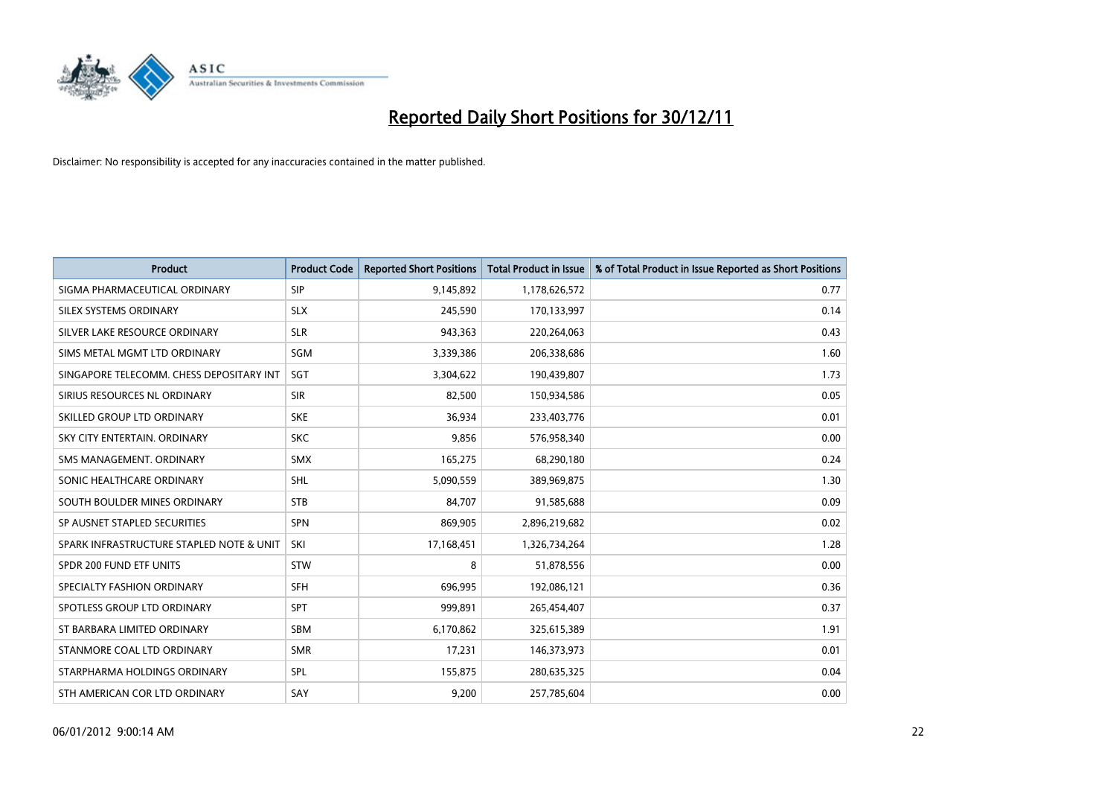

| <b>Product</b>                           | <b>Product Code</b> | <b>Reported Short Positions</b> | <b>Total Product in Issue</b> | % of Total Product in Issue Reported as Short Positions |
|------------------------------------------|---------------------|---------------------------------|-------------------------------|---------------------------------------------------------|
| SIGMA PHARMACEUTICAL ORDINARY            | <b>SIP</b>          | 9,145,892                       | 1,178,626,572                 | 0.77                                                    |
| SILEX SYSTEMS ORDINARY                   | <b>SLX</b>          | 245,590                         | 170,133,997                   | 0.14                                                    |
| SILVER LAKE RESOURCE ORDINARY            | <b>SLR</b>          | 943,363                         | 220,264,063                   | 0.43                                                    |
| SIMS METAL MGMT LTD ORDINARY             | SGM                 | 3,339,386                       | 206,338,686                   | 1.60                                                    |
| SINGAPORE TELECOMM. CHESS DEPOSITARY INT | <b>SGT</b>          | 3,304,622                       | 190,439,807                   | 1.73                                                    |
| SIRIUS RESOURCES NL ORDINARY             | <b>SIR</b>          | 82,500                          | 150,934,586                   | 0.05                                                    |
| SKILLED GROUP LTD ORDINARY               | <b>SKE</b>          | 36,934                          | 233,403,776                   | 0.01                                                    |
| SKY CITY ENTERTAIN, ORDINARY             | <b>SKC</b>          | 9,856                           | 576,958,340                   | 0.00                                                    |
| SMS MANAGEMENT, ORDINARY                 | <b>SMX</b>          | 165,275                         | 68,290,180                    | 0.24                                                    |
| SONIC HEALTHCARE ORDINARY                | <b>SHL</b>          | 5,090,559                       | 389,969,875                   | 1.30                                                    |
| SOUTH BOULDER MINES ORDINARY             | <b>STB</b>          | 84,707                          | 91,585,688                    | 0.09                                                    |
| SP AUSNET STAPLED SECURITIES             | <b>SPN</b>          | 869,905                         | 2,896,219,682                 | 0.02                                                    |
| SPARK INFRASTRUCTURE STAPLED NOTE & UNIT | SKI                 | 17,168,451                      | 1,326,734,264                 | 1.28                                                    |
| SPDR 200 FUND ETF UNITS                  | <b>STW</b>          | 8                               | 51,878,556                    | 0.00                                                    |
| SPECIALTY FASHION ORDINARY               | <b>SFH</b>          | 696,995                         | 192,086,121                   | 0.36                                                    |
| SPOTLESS GROUP LTD ORDINARY              | <b>SPT</b>          | 999,891                         | 265,454,407                   | 0.37                                                    |
| ST BARBARA LIMITED ORDINARY              | <b>SBM</b>          | 6,170,862                       | 325,615,389                   | 1.91                                                    |
| STANMORE COAL LTD ORDINARY               | <b>SMR</b>          | 17,231                          | 146,373,973                   | 0.01                                                    |
| STARPHARMA HOLDINGS ORDINARY             | <b>SPL</b>          | 155,875                         | 280,635,325                   | 0.04                                                    |
| STH AMERICAN COR LTD ORDINARY            | SAY                 | 9,200                           | 257,785,604                   | 0.00                                                    |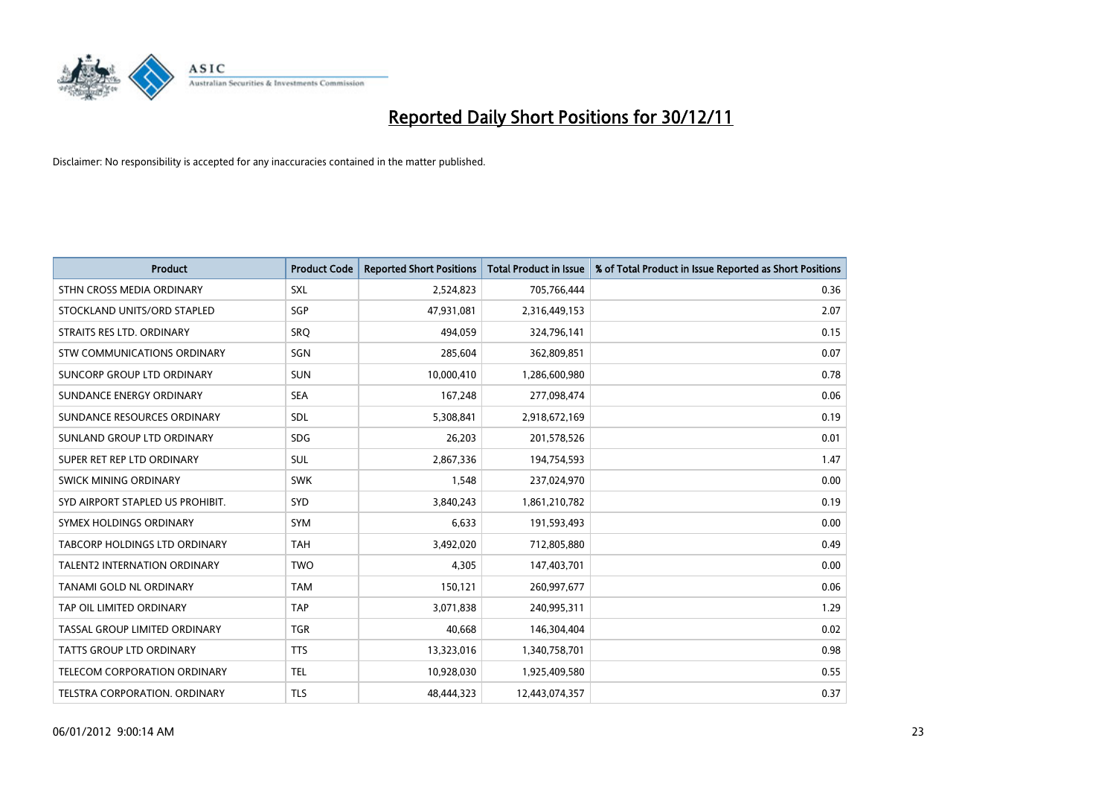

| <b>Product</b>                      | <b>Product Code</b> | <b>Reported Short Positions</b> | <b>Total Product in Issue</b> | % of Total Product in Issue Reported as Short Positions |
|-------------------------------------|---------------------|---------------------------------|-------------------------------|---------------------------------------------------------|
| STHN CROSS MEDIA ORDINARY           | <b>SXL</b>          | 2,524,823                       | 705,766,444                   | 0.36                                                    |
| STOCKLAND UNITS/ORD STAPLED         | SGP                 | 47,931,081                      | 2,316,449,153                 | 2.07                                                    |
| STRAITS RES LTD. ORDINARY           | SRO                 | 494,059                         | 324,796,141                   | 0.15                                                    |
| STW COMMUNICATIONS ORDINARY         | SGN                 | 285,604                         | 362,809,851                   | 0.07                                                    |
| SUNCORP GROUP LTD ORDINARY          | <b>SUN</b>          | 10,000,410                      | 1,286,600,980                 | 0.78                                                    |
| SUNDANCE ENERGY ORDINARY            | <b>SEA</b>          | 167,248                         | 277,098,474                   | 0.06                                                    |
| SUNDANCE RESOURCES ORDINARY         | <b>SDL</b>          | 5,308,841                       | 2,918,672,169                 | 0.19                                                    |
| SUNLAND GROUP LTD ORDINARY          | <b>SDG</b>          | 26,203                          | 201,578,526                   | 0.01                                                    |
| SUPER RET REP LTD ORDINARY          | SUL                 | 2,867,336                       | 194,754,593                   | 1.47                                                    |
| SWICK MINING ORDINARY               | <b>SWK</b>          | 1,548                           | 237,024,970                   | 0.00                                                    |
| SYD AIRPORT STAPLED US PROHIBIT.    | <b>SYD</b>          | 3,840,243                       | 1,861,210,782                 | 0.19                                                    |
| SYMEX HOLDINGS ORDINARY             | <b>SYM</b>          | 6,633                           | 191,593,493                   | 0.00                                                    |
| TABCORP HOLDINGS LTD ORDINARY       | <b>TAH</b>          | 3,492,020                       | 712,805,880                   | 0.49                                                    |
| <b>TALENT2 INTERNATION ORDINARY</b> | <b>TWO</b>          | 4,305                           | 147,403,701                   | 0.00                                                    |
| <b>TANAMI GOLD NL ORDINARY</b>      | <b>TAM</b>          | 150,121                         | 260,997,677                   | 0.06                                                    |
| TAP OIL LIMITED ORDINARY            | <b>TAP</b>          | 3,071,838                       | 240,995,311                   | 1.29                                                    |
| TASSAL GROUP LIMITED ORDINARY       | <b>TGR</b>          | 40,668                          | 146,304,404                   | 0.02                                                    |
| TATTS GROUP LTD ORDINARY            | <b>TTS</b>          | 13,323,016                      | 1,340,758,701                 | 0.98                                                    |
| <b>TELECOM CORPORATION ORDINARY</b> | <b>TEL</b>          | 10,928,030                      | 1,925,409,580                 | 0.55                                                    |
| TELSTRA CORPORATION, ORDINARY       | <b>TLS</b>          | 48.444.323                      | 12,443,074,357                | 0.37                                                    |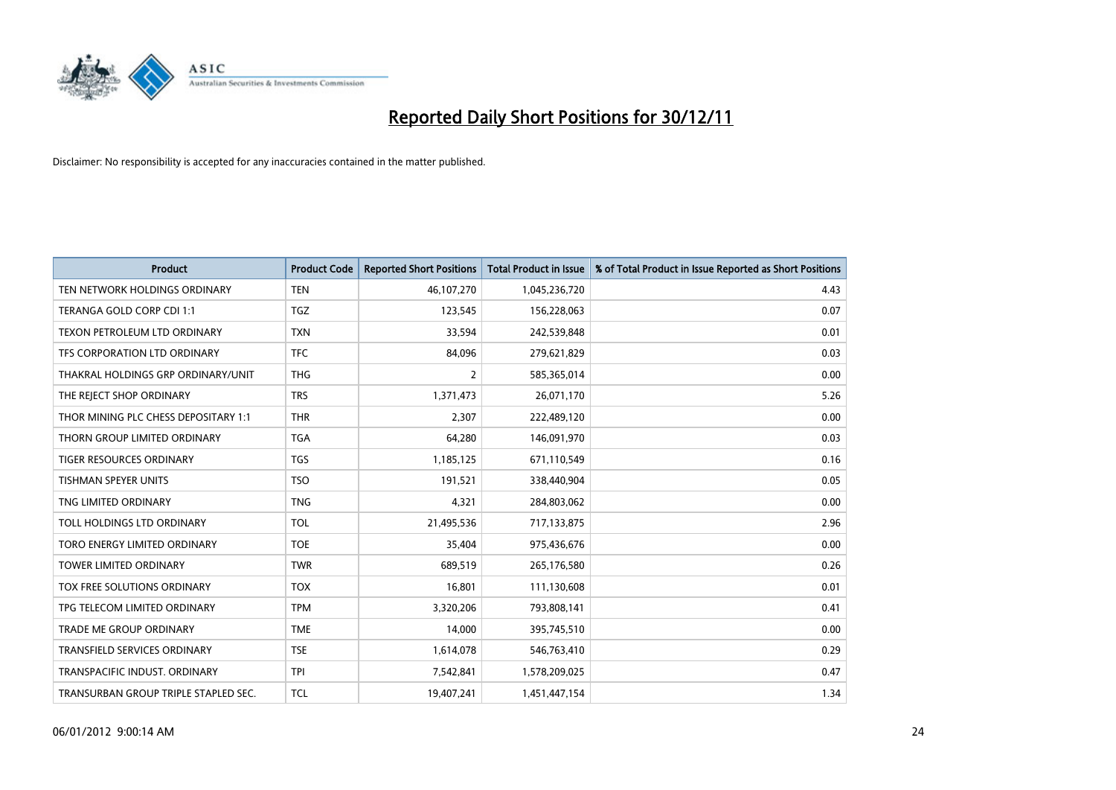

| <b>Product</b>                       | <b>Product Code</b> | <b>Reported Short Positions</b> | <b>Total Product in Issue</b> | % of Total Product in Issue Reported as Short Positions |
|--------------------------------------|---------------------|---------------------------------|-------------------------------|---------------------------------------------------------|
| TEN NETWORK HOLDINGS ORDINARY        | <b>TEN</b>          | 46,107,270                      | 1,045,236,720                 | 4.43                                                    |
| TERANGA GOLD CORP CDI 1:1            | <b>TGZ</b>          | 123,545                         | 156,228,063                   | 0.07                                                    |
| TEXON PETROLEUM LTD ORDINARY         | <b>TXN</b>          | 33,594                          | 242,539,848                   | 0.01                                                    |
| TFS CORPORATION LTD ORDINARY         | <b>TFC</b>          | 84,096                          | 279,621,829                   | 0.03                                                    |
| THAKRAL HOLDINGS GRP ORDINARY/UNIT   | <b>THG</b>          | 2                               | 585,365,014                   | 0.00                                                    |
| THE REJECT SHOP ORDINARY             | <b>TRS</b>          | 1,371,473                       | 26,071,170                    | 5.26                                                    |
| THOR MINING PLC CHESS DEPOSITARY 1:1 | <b>THR</b>          | 2.307                           | 222,489,120                   | 0.00                                                    |
| THORN GROUP LIMITED ORDINARY         | <b>TGA</b>          | 64,280                          | 146,091,970                   | 0.03                                                    |
| TIGER RESOURCES ORDINARY             | <b>TGS</b>          | 1,185,125                       | 671,110,549                   | 0.16                                                    |
| <b>TISHMAN SPEYER UNITS</b>          | <b>TSO</b>          | 191,521                         | 338,440,904                   | 0.05                                                    |
| TNG LIMITED ORDINARY                 | <b>TNG</b>          | 4,321                           | 284,803,062                   | 0.00                                                    |
| TOLL HOLDINGS LTD ORDINARY           | <b>TOL</b>          | 21,495,536                      | 717,133,875                   | 2.96                                                    |
| TORO ENERGY LIMITED ORDINARY         | <b>TOE</b>          | 35.404                          | 975,436,676                   | 0.00                                                    |
| <b>TOWER LIMITED ORDINARY</b>        | <b>TWR</b>          | 689.519                         | 265,176,580                   | 0.26                                                    |
| TOX FREE SOLUTIONS ORDINARY          | <b>TOX</b>          | 16,801                          | 111,130,608                   | 0.01                                                    |
| TPG TELECOM LIMITED ORDINARY         | <b>TPM</b>          | 3,320,206                       | 793,808,141                   | 0.41                                                    |
| <b>TRADE ME GROUP ORDINARY</b>       | <b>TME</b>          | 14,000                          | 395,745,510                   | 0.00                                                    |
| TRANSFIELD SERVICES ORDINARY         | <b>TSE</b>          | 1,614,078                       | 546,763,410                   | 0.29                                                    |
| TRANSPACIFIC INDUST, ORDINARY        | <b>TPI</b>          | 7,542,841                       | 1,578,209,025                 | 0.47                                                    |
| TRANSURBAN GROUP TRIPLE STAPLED SEC. | <b>TCL</b>          | 19,407,241                      | 1,451,447,154                 | 1.34                                                    |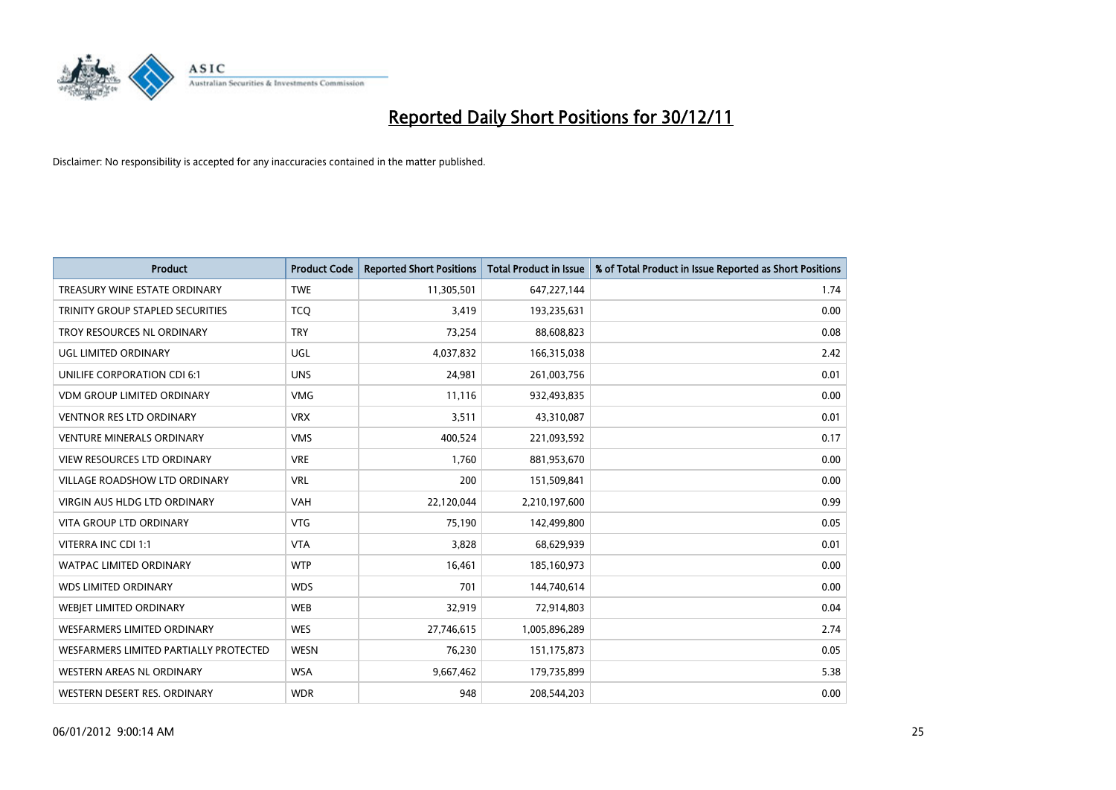

| <b>Product</b>                         | <b>Product Code</b> | <b>Reported Short Positions</b> | <b>Total Product in Issue</b> | % of Total Product in Issue Reported as Short Positions |
|----------------------------------------|---------------------|---------------------------------|-------------------------------|---------------------------------------------------------|
| TREASURY WINE ESTATE ORDINARY          | <b>TWE</b>          | 11,305,501                      | 647,227,144                   | 1.74                                                    |
| TRINITY GROUP STAPLED SECURITIES       | <b>TCO</b>          | 3,419                           | 193,235,631                   | 0.00                                                    |
| TROY RESOURCES NL ORDINARY             | <b>TRY</b>          | 73,254                          | 88,608,823                    | 0.08                                                    |
| UGL LIMITED ORDINARY                   | UGL                 | 4,037,832                       | 166,315,038                   | 2.42                                                    |
| UNILIFE CORPORATION CDI 6:1            | <b>UNS</b>          | 24,981                          | 261,003,756                   | 0.01                                                    |
| <b>VDM GROUP LIMITED ORDINARY</b>      | <b>VMG</b>          | 11,116                          | 932,493,835                   | 0.00                                                    |
| <b>VENTNOR RES LTD ORDINARY</b>        | <b>VRX</b>          | 3,511                           | 43,310,087                    | 0.01                                                    |
| <b>VENTURE MINERALS ORDINARY</b>       | <b>VMS</b>          | 400,524                         | 221,093,592                   | 0.17                                                    |
| <b>VIEW RESOURCES LTD ORDINARY</b>     | <b>VRE</b>          | 1.760                           | 881,953,670                   | 0.00                                                    |
| VILLAGE ROADSHOW LTD ORDINARY          | <b>VRL</b>          | 200                             | 151,509,841                   | 0.00                                                    |
| VIRGIN AUS HLDG LTD ORDINARY           | <b>VAH</b>          | 22,120,044                      | 2,210,197,600                 | 0.99                                                    |
| <b>VITA GROUP LTD ORDINARY</b>         | <b>VTG</b>          | 75,190                          | 142,499,800                   | 0.05                                                    |
| VITERRA INC CDI 1:1                    | <b>VTA</b>          | 3,828                           | 68,629,939                    | 0.01                                                    |
| <b>WATPAC LIMITED ORDINARY</b>         | <b>WTP</b>          | 16,461                          | 185,160,973                   | 0.00                                                    |
| <b>WDS LIMITED ORDINARY</b>            | <b>WDS</b>          | 701                             | 144,740,614                   | 0.00                                                    |
| WEBIET LIMITED ORDINARY                | <b>WEB</b>          | 32,919                          | 72,914,803                    | 0.04                                                    |
| WESFARMERS LIMITED ORDINARY            | <b>WES</b>          | 27,746,615                      | 1,005,896,289                 | 2.74                                                    |
| WESFARMERS LIMITED PARTIALLY PROTECTED | <b>WESN</b>         | 76,230                          | 151, 175, 873                 | 0.05                                                    |
| WESTERN AREAS NL ORDINARY              | <b>WSA</b>          | 9,667,462                       | 179,735,899                   | 5.38                                                    |
| WESTERN DESERT RES. ORDINARY           | <b>WDR</b>          | 948                             | 208,544,203                   | 0.00                                                    |